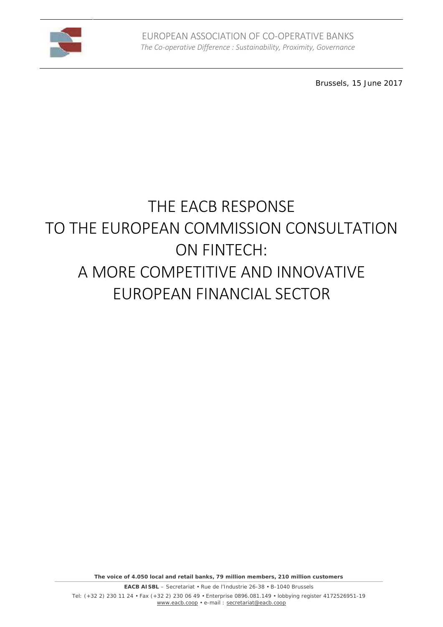

Brussels, 15 June 2017

# **THE EACB RESPONSE TO THE EUROPEAN COMMISSION CONSULTATION ON FINTECH: A MORE COMPETITIVE AND INNOVATIVE EUROPEAN FINANCIAL SECTOR**

*The voice of 4.050 local and retail banks, 79 million members, 210 million customers*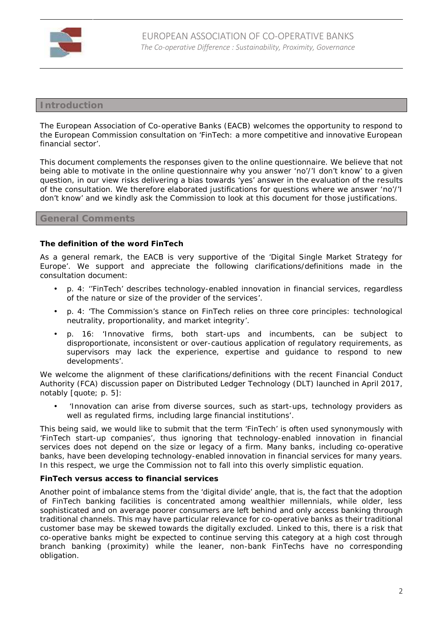

# **Introduction**

The European Association of Co-operative Banks (EACB) welcomes the opportunity to respond to the European Commission consultation on 'FinTech: a more competitive and innovative European financial sector'.

This document complements the responses given to the online questionnaire. We believe that not being able to motivate in the online questionnaire why you answer '*no'/'I don't know'* to a given question, in our view risks delivering a bias towards 'yes' answer in the evaluation of the results of the consultation. We therefore elaborated justifications for questions where we answer '*no'/'I don't know'* and we kindly ask the Commission to look at this document for those justifications.

### **General Comments**

**The definition of the word FinTech**

As a general remark, the EACB is very supportive of the 'Digital Single Market Strategy for Europe'. We support and appreciate the following clarifications/definitions made in the consultation document:

- p. 4: '*'FinTech' describes technology-enabled innovation in financial services, regardless of the nature or size of the provider of the services'*.
- p. 4: '*The Commission's stance on FinTech relies on three core principles: technological neutrality, proportionality, and market integrity'*.
- p. 16: '*Innovative firms, both start-ups and incumbents, can be subject to disproportionate, inconsistent or over-cautious application of regulatory requirements, as supervisors may lack the experience, expertise and guidance to respond to new developments'*.

We welcome the alignment of these clarifications/definitions with the recent Financial Conduct Authority (FCA) discussion paper on Distributed Ledger Technology (DLT) launched in April 2017, notably [quote; p. 5]:

 *'Innovation can arise from diverse sources, such as start-ups, technology providers as well as regulated firms, including large financial institutions'*.

This being said, we would like to submit that the term 'FinTech' is often used synonymously with 'FinTech start-up companies', thus ignoring that technology-enabled innovation in financial services does not depend on the size or legacy of a firm. Many banks, including co-operative banks, have been developing technology-enabled innovation in financial services for many years. In this respect, we urge the Commission not to fall into this overly simplistic equation.

**FinTech versus access to financial services**

Another point of imbalance stems from the 'digital divide' angle, that is, the fact that the adoption of FinTech banking facilities is concentrated among wealthier millennials, while older, less sophisticated and on average poorer consumers are left behind and only access banking through traditional channels. This may have particular relevance for co-operative banks as their traditional customer base may be skewed towards the digitally excluded. Linked to this, there is a risk that co-operative banks might be expected to continue serving this category at a high cost through branch banking (proximity) while the leaner, non-bank FinTechs have no corresponding obligation.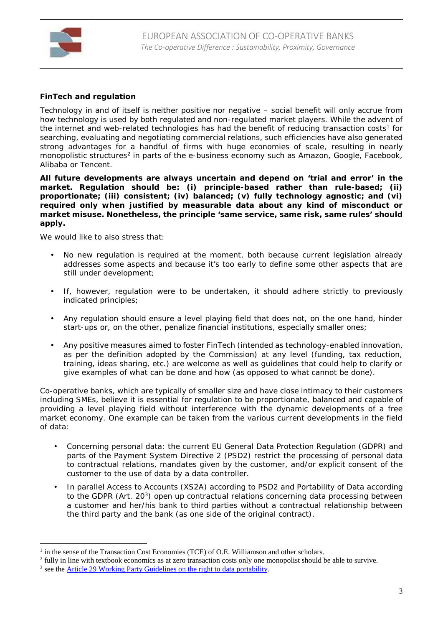

**FinTech and regulation**

Technology in and of itself is neither positive nor negative – social benefit will only accrue from how technology is used by both regulated and non-regulated market players. While the advent of the internet and web-related technologies has had the benefit of reducing transaction costs<sup>1</sup> for searching, evaluating and negotiating commercial relations, such efficiencies have also generated strong advantages for a handful of firms with huge economies of scale, resulting in nearly monopolistic structures<sup>2</sup> in parts of the e-business economy such as Amazon, Google, Facebook, Alibaba or Tencent.

**All future developments are always uncertain and depend on 'trial and error' in the market. Regulation should be: (i) principle-based rather than rule-based; (ii) proportionate; (iii) consistent; (iv) balanced; (v) fully technology agnostic; and (vi) required only when justified by measurable data about any kind of misconduct or market misuse. Nonetheless, the principle 'same service, same risk, same rules' should apply.**

We would like to also stress that:

- No new regulation is required at the moment, both because current legislation already addresses some aspects and because it's too early to define some other aspects that are still under development;
- If, however, regulation were to be undertaken, it should adhere strictly to previously indicated principles;
- Any regulation should ensure a level playing field that does not, on the one hand, hinder start-ups or, on the other, penalize financial institutions, especially smaller ones;
- Any positive measures aimed to foster FinTech (intended as technology-enabled innovation, as per the definition adopted by the Commission) at any level (funding, tax reduction, training, ideas sharing, etc.) are welcome as well as guidelines that could help to clarify or give examples of what can be done and how (as opposed to what cannot be done).

Co-operative banks, which are typically of smaller size and have close intimacy to their customers including SMEs, believe it is essential for regulation to be proportionate, balanced and capable of providing a level playing field without interference with the dynamic developments of a free market economy. One example can be taken from the various current developments in the field of data:

- Concerning personal data: the current EU General Data Protection Regulation (GDPR) and parts of the Payment System Directive 2 (PSD2) restrict the processing of personal data to contractual relations, mandates given by the customer, and/or explicit consent of the customer to the use of data by a data controller.
- In parallel Access to Accounts (XS2A) according to PSD2 and Portability of Data according to the GDPR (Art. 20<sup>3</sup>) open up contractual relations concerning data processing between a customer and her/his bank to third parties without a contractual relationship between the third party and the bank (as one side of the original contract).

<sup>&</sup>lt;sup>1</sup> in the sense of the Transaction Cost Economies (TCE) of O.E. Williamson and other scholars.

<sup>2</sup> fully in line with textbook economics as at zero transaction costs only one monopolist should be able to survive.

<sup>&</sup>lt;sup>3</sup> see the Article 29 Working Party Guidelines on the right to data portability.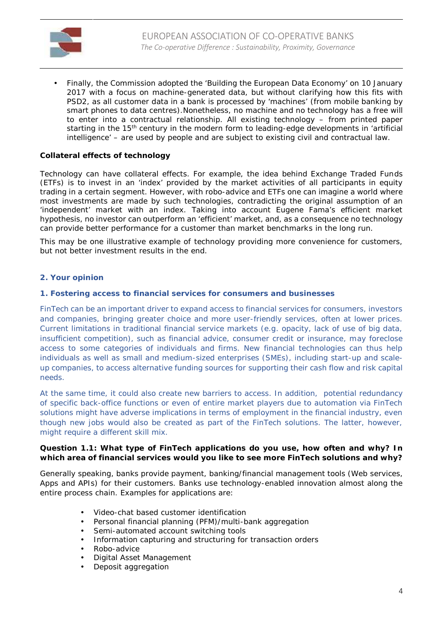

 Finally, the Commission adopted the 'Building the European Data Economy' on 10 January 2017 with a focus on machine-generated data, but without clarifying how this fits with PSD2, as all customer data in a bank is processed by 'machines' (from mobile banking by smart phones to data centres).Nonetheless, no machine and no technology has a free will to enter into a contractual relationship. All existing technology – from printed paper starting in the 15<sup>th</sup> century in the modern form to leading-edge developments in 'artificial intelligence' – are used by people and are subject to existing civil and contractual law.

#### **Collateral effects of technology**

Technology can have collateral effects. For example, the idea behind Exchange Traded Funds (ETFs) is to invest in an 'index' provided by the market activities of all participants in equity trading in a certain segment. However, with robo-advice and ETFs one can imagine a world where most investments are made by such technologies, contradicting the original assumption of an 'independent' market with an index. Taking into account Eugene Fama's efficient market hypothesis, no investor can outperform an 'efficient' market, and, as a consequence no technology can provide better performance for a customer than market benchmarks in the long run.

This may be one illustrative example of technology providing more convenience for customers, but not better investment results in the end.

#### **2. Your opinion**

#### **1. Fostering access to financial services for consumers and businesses**

FinTech can be an important driver to expand access to financial services for consumers, investors and companies, bringing greater choice and more user-friendly services, often at lower prices. Current limitations in traditional financial service markets (e.g. opacity, lack of use of big data, insufficient competition), such as financial advice, consumer credit or insurance, may foreclose access to some categories of individuals and firms. New financial technologies can thus help individuals as well as small and medium-sized enterprises (SMEs), including start-up and scale up companies, to access alternative funding sources for supporting their cash flow and risk capital needs.

At the same time, it could also create new barriers to access. In addition, potential redundancy of specific back-office functions or even of entire market players due to automation via FinTech solutions might have adverse implications in terms of employment in the financial industry, even though new jobs would also be created as part of the FinTech solutions. The latter, however, might require a different skill mix.

**Question 1.1: What type of FinTech applications do you use, how often and why? In which area of financial services would you like to see more FinTech solutions and why?**

Generally speaking, banks provide payment, banking/financial management tools (Web services, Apps and APIs) for their customers. Banks use technology-enabled innovation almost along the entire process chain. Examples for applications are:

- Video-chat based customer identification
- Personal financial planning (PFM)/multi-bank aggregation
- Semi-automated account switching tools
- Information capturing and structuring for transaction orders
- Robo-advice
- Digital Asset Management
- Deposit aggregation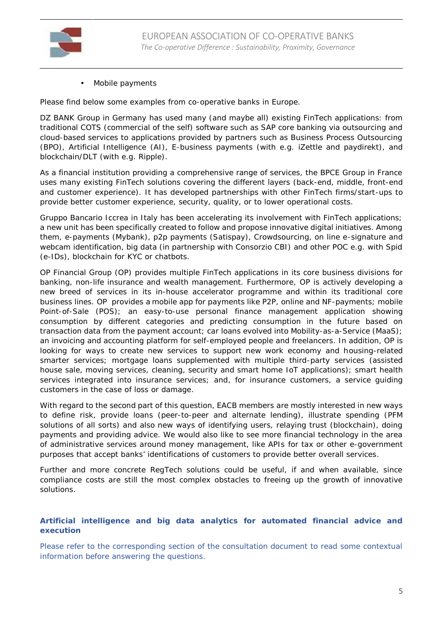

Mobile payments

Please find below some examples from co-operative banks in Europe.

DZ BANK Group in Germany has used many (and maybe all) existing FinTech applications: from traditional COTS (commercial of the self) software such as SAP core banking via outsourcing and cloud-based services to applications provided by partners such as Business Process Outsourcing (BPO), Artificial Intelligence (AI), E-business payments (with e.g. iZettle and paydirekt), and blockchain/DLT (with e.g. Ripple).

As a financial institution providing a comprehensive range of services, the BPCE Group in France uses many existing FinTech solutions covering the different layers (back-end, middle, front-end and customer experience). It has developed partnerships with other FinTech firms/start-ups to provide better customer experience, security, quality, or to lower operational costs.

Gruppo Bancario Iccrea in Italy has been accelerating its involvement with FinTech applications; a new unit has been specifically created to follow and propose innovative digital initiatives. Among them, e-payments (Mybank), p2p payments (Satispay), Crowdsourcing, on line e-signature and webcam identification, big data (in partnership with Consorzio CBI) and other POC e.g. with Spid (e-IDs), blockchain for KYC or chatbots.

OP Financial Group (OP) provides multiple FinTech applications in its core business divisions for banking, non-life insurance and wealth management. Furthermore, OP is actively developing a new breed of services in its in-house accelerator programme and within its traditional core business lines. OP provides a mobile app for payments like P2P, online and NF-payments; mobile Point-of-Sale (POS); an easy-to-use personal finance management application showing consumption by different categories and predicting consumption in the future based on transaction data from the payment account; car loans evolved into Mobility-as-a-Service (MaaS); an invoicing and accounting platform for self-employed people and freelancers. In addition, OP is looking for ways to create new services to support new work economy and housing-related smarter services; mortgage loans supplemented with multiple third-party services (assisted house sale, moving services, cleaning, security and smart home IoT applications); smart health services integrated into insurance services; and, for insurance customers, a service guiding customers in the case of loss or damage.

With regard to the second part of this question, EACB members are mostly interested in new ways to define risk, provide loans (peer-to-peer and alternate lending), illustrate spending (PFM solutions of all sorts) and also new ways of identifying users, relaying trust (blockchain), doing payments and providing advice. We would also like to see more financial technology in the area of administrative services around money management, like APIs for tax or other e-government purposes that accept banks' identifications of customers to provide better overall services.

Further and more concrete RegTech solutions could be useful, if and when available, since compliance costs are still the most complex obstacles to freeing up the growth of innovative solutions.

#### **Artificial intelligence and big data analytics for automated financial advice and execution**

Please refer to the corresponding section of the consultation document to read some contextual information before answering the questions.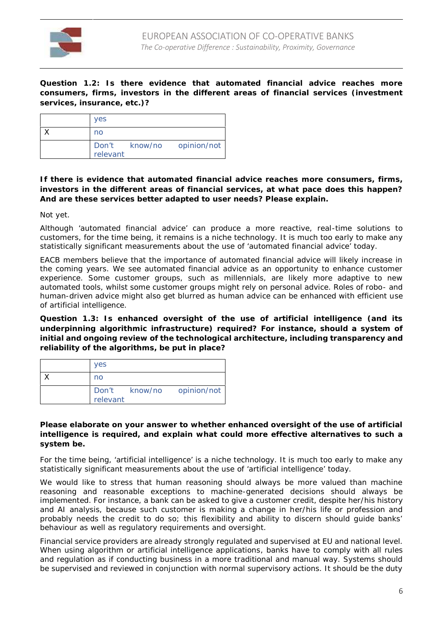

**Question 1.2: Is there evidence that automated financial advice reaches more consumers, firms, investors in the different areas of financial services (investment services, insurance, etc.)?**

| <b>yes</b> |                           |
|------------|---------------------------|
| no         |                           |
| relevant   | Don't know/no opinion/not |

**If there is evidence that automated financial advice reaches more consumers, firms, investors in the different areas of financial services, at what pace does this happen? And are these services better adapted to user needs? Please explain.**

Not yet.

Although 'automated financial advice' can produce a more reactive, real-time solutions to customers, for the time being, it remains is a niche technology. It is much too early to make any statistically significant measurements about the use of 'automated financial advice' today.

EACB members believe that the importance of automated financial advice will likely increase in the coming years. We see automated financial advice as an opportunity to enhance customer experience. Some customer groups, such as millennials, are likely more adaptive to new automated tools, whilst some customer groups might rely on personal advice. Roles of robo- and human-driven advice might also get blurred as human advice can be enhanced with efficient use of artificial intelligence.

**Question 1.3: Is enhanced oversight of the use of artificial intelligence (and its underpinning algorithmic infrastructure) required? For instance, should a system of initial and ongoing review of the technological architecture, including transparency and reliability of the algorithms, be put in place?**

| <b>ves</b> |                           |
|------------|---------------------------|
| no         |                           |
| relevant   | Don't know/no opinion/not |

**Please elaborate on your answer to whether enhanced oversight of the use of artificial intelligence is required, and explain what could more effective alternatives to such a system be.**

For the time being, 'artificial intelligence' is a niche technology. It is much too early to make any statistically significant measurements about the use of 'artificial intelligence' today.

We would like to stress that human reasoning should always be more valued than machine reasoning and reasonable exceptions to machine-generated decisions should always be implemented. For instance, a bank can be asked to give a customer credit, despite her/his history and AI analysis, because such customer is making a change in her/his life or profession and probably needs the credit to do so; this flexibility and ability to discern should guide banks' behaviour as well as regulatory requirements and oversight.

Financial service providers are already strongly regulated and supervised at EU and national level. When using algorithm or artificial intelligence applications, banks have to comply with all rules and regulation as if conducting business in a more traditional and manual way. Systems should be supervised and reviewed in conjunction with normal supervisory actions. It should be the duty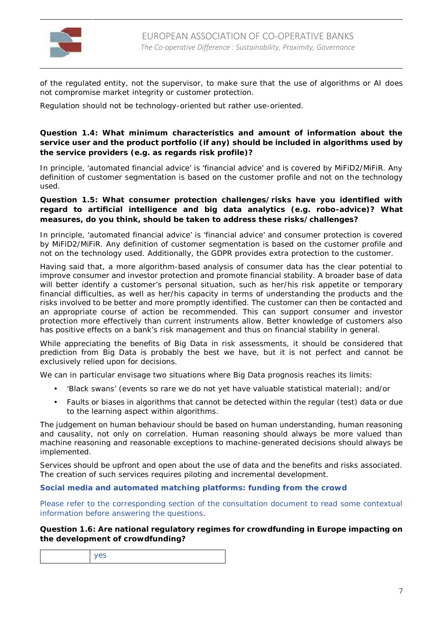

of the regulated entity, not the supervisor, to make sure that the use of algorithms or AI does not compromise market integrity or customer protection.

Regulation should not be technology-oriented but rather use-oriented.

**Question 1.4: What minimum characteristics and amount of information about the service user and the product portfolio (if any) should be included in algorithms used by the service providers (e.g. as regards risk profile)?**

In principle, 'automated financial advice' is 'financial advice' and is covered by MiFiD2/MiFiR. Any definition of customer segmentation is based on the customer profile and not on the technology used.

**Question 1.5: What consumer protection challenges/risks have you identified with regard to artificial intelligence and big data analytics (e.g. robo-advice)? What measures, do you think, should be taken to address these risks/challenges?**

In principle, 'automated financial advice' is 'financial advice' and consumer protection is covered by MiFiD2/MiFiR. Any definition of customer segmentation is based on the customer profile and not on the technology used. Additionally, the GDPR provides extra protection to the customer.

Having said that, a more algorithm-based analysis of consumer data has the clear potential to improve consumer and investor protection and promote financial stability. A broader base of data will better identify a customer's personal situation, such as her/his risk appetite or temporary financial difficulties, as well as her/his capacity in terms of understanding the products and the risks involved to be better and more promptly identified. The customer can then be contacted and an appropriate course of action be recommended. This can support consumer and investor protection more effectively than current instruments allow. Better knowledge of customers also has positive effects on a bank's risk management and thus on financial stability in general.

While appreciating the benefits of Big Data in risk assessments, it should be considered that prediction from Big Data is probably the best we have, but it is not perfect and cannot be exclusively relied upon for decisions.

We can in particular envisage two situations where Big Data prognosis reaches its limits:

- 'Black swans' (events so rare we do not yet have valuable statistical material); and/or
- Faults or biases in algorithms that cannot be detected within the regular (test) data or due to the learning aspect within algorithms.

The judgement on human behaviour should be based on human understanding, human reasoning and causality, not only on correlation. Human reasoning should always be more valued than machine reasoning and reasonable exceptions to machine-generated decisions should always be implemented.

Services should be upfront and open about the use of data and the benefits and risks associated. The creation of such services requires piloting and incremental development.

**Social media and automated matching platforms: funding from the crowd**

Please refer to the corresponding section of the consultation document to read some contextual information before answering the questions.

**Question 1.6: Are national regulatory regimes for crowdfunding in Europe impacting on the development of crowdfunding?**

|--|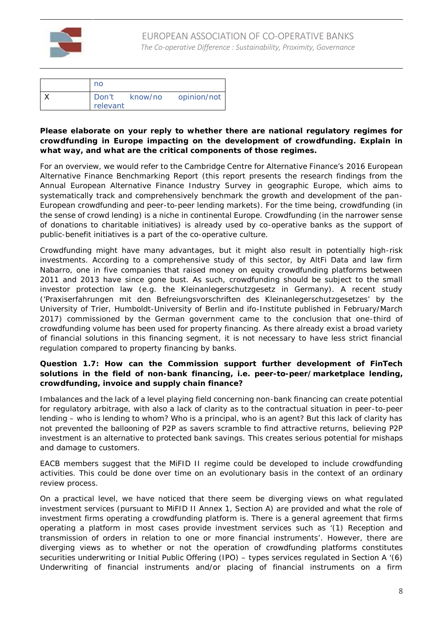

| no                |                     |
|-------------------|---------------------|
| Don't<br>relevant | know/no opinion/not |

**Please elaborate on your reply to whether there are national regulatory regimes for crowdfunding in Europe impacting on the development of crowdfunding. Explain in what way, and what are the critical components of those regimes.**

For an overview, we would refer to the Cambridge Centre for Alternative Finance's 2016 European Alternative Finance Benchmarking Report (this report presents the research findings from the Annual European Alternative Finance Industry Survey in geographic Europe, which aims to systematically track and comprehensively benchmark the growth and development of the pan- European crowdfunding and peer-to-peer lending markets). For the time being, crowdfunding (in the sense of crowd lending) is a niche in continental Europe. Crowdfunding (in the narrower sense of donations to charitable initiatives) is already used by co-operative banks as the support of public-benefit initiatives is a part of the co-operative culture.

Crowdfunding might have many advantages, but it might also result in potentially high-risk investments. According to a comprehensive study of this sector, by AltFi Data and law firm Nabarro, one in five companies that raised money on equity crowdfunding platforms between 2011 and 2013 have since gone bust. As such, crowdfunding should be subject to the small investor protection law (e.g. the Kleinanlegerschutzgesetz in Germany). A recent study ('*Praxiserfahrungen mit den Befreiungsvorschriften des Kleinanlegerschutzgesetzes'* by the University of Trier, Humboldt-University of Berlin and ifo-Institute published in February/March 2017) commissioned by the German government came to the conclusion that one-third of crowdfunding volume has been used for property financing. As there already exist a broad variety of financial solutions in this financing segment, it is not necessary to have less strict financial regulation compared to property financing by banks.

**Question 1.7: How can the Commission support further development of FinTech solutions in the field of non-bank financing, i.e. peer-to-peer/marketplace lending, crowdfunding, invoice and supply chain finance?**

Imbalances and the lack of a level playing field concerning non-bank financing can create potential for regulatory arbitrage, with also a lack of clarity as to the contractual situation in peer-to-peer lending – who is lending to whom? Who is a principal, who is an agent? But this lack of clarity has not prevented the ballooning of P2P as savers scramble to find attractive returns, believing P2P investment is an alternative to protected bank savings. This creates serious potential for mishaps and damage to customers.

EACB members suggest that the MiFID II regime could be developed to include crowdfunding activities. This could be done over time on an evolutionary basis in the context of an ordinary review process.

On a practical level, we have noticed that there seem be diverging views on what regulated investment services (pursuant to MiFID II Annex 1, Section A) are provided and what the role of investment firms operating a crowdfunding platform is. There is a general agreement that firms operating a platform in most cases provide investment services such as *'(1) Reception and transmission of orders in relation to one or more financial instruments'*. However, there are diverging views as to whether or not the operation of crowdfunding platforms constitutes securities underwriting or Initial Public Offering (IPO) – types services regulated in Section A *'(6) Underwriting of financial instruments and/or placing of financial instruments on a firm*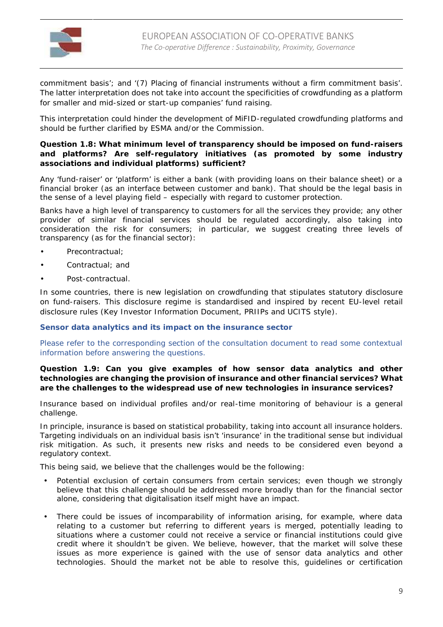

*commitment basis'*; and *'(7) Placing of financial instruments without a firm commitment basis'*. The latter interpretation does not take into account the specificities of crowdfunding as a platform for smaller and mid-sized or start-up companies' fund raising.

This interpretation could hinder the development of MiFID-regulated crowdfunding platforms and should be further clarified by ESMA and/or the Commission.

**Question 1.8: What minimum level of transparency should be imposed on fund-raisers and platforms? Are self-regulatory initiatives (as promoted by some industry associations and individual platforms) sufficient?**

Any 'fund-raiser' or 'platform' is either a bank (with providing loans on their balance sheet) or a financial broker (as an interface between customer and bank). That should be the legal basis in the sense of a level playing field – especially with regard to customer protection.

Banks have a high level of transparency to customers for all the services they provide; any other provider of similar financial services should be regulated accordingly, also taking into consideration the risk for consumers; in particular, we suggest creating three levels of transparency (as for the financial sector):

- Precontractual;
- Contractual; and
- Post-contractual.

In some countries, there is new legislation on crowdfunding that stipulates statutory disclosure on fund-raisers. This disclosure regime is standardised and inspired by recent EU-level retail disclosure rules (Key Investor Information Document, PRIIPs and UCITS style).

**Sensor data analytics and its impact on the insurance sector**

Please refer to the corresponding section of the consultation document to read some contextual information before answering the questions.

**Question 1.9: Can you give examples of how sensor data analytics and other technologies are changing the provision of insurance and other financial services? What are the challenges to the widespread use of new technologies in insurance services?**

Insurance based on individual profiles and/or real-time monitoring of behaviour is a general challenge.

In principle, insurance is based on statistical probability, taking into account all insurance holders. Targeting individuals on an individual basis isn't 'insurance' in the traditional sense but individual risk mitigation. As such, it presents new risks and needs to be considered even beyond a regulatory context.

This being said, we believe that the challenges would be the following:

- Potential exclusion of certain consumers from certain services; even though we strongly believe that this challenge should be addressed more broadly than for the financial sector alone, considering that digitalisation itself might have an impact.
- There could be issues of incomparability of information arising, for example, where data relating to a customer but referring to different years is merged, potentially leading to situations where a customer could not receive a service or financial institutions could give credit where it shouldn't be given. We believe, however, that the market will solve these issues as more experience is gained with the use of sensor data analytics and other technologies. Should the market not be able to resolve this, guidelines or certification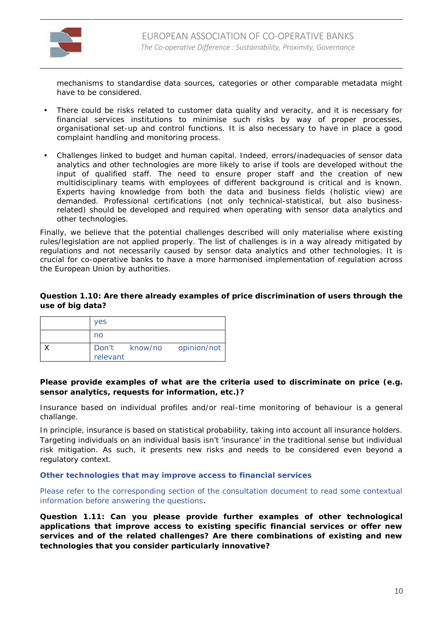

mechanisms to standardise data sources, categories or other comparable metadata might have to be considered.

- There could be risks related to customer data quality and veracity, and it is necessary for financial services institutions to minimise such risks by way of proper processes, organisational set-up and control functions. It is also necessary to have in place a good complaint handling and monitoring process.
- Challenges linked to budget and human capital. Indeed, errors/inadequacies of sensor data analytics and other technologies are more likely to arise if tools are developed without the input of qualified staff. The need to ensure proper staff and the creation of new multidisciplinary teams with employees of different background is critical and is known. Experts having knowledge from both the data and business fields (holistic view) are demanded. Professional certifications (not only technical-statistical, but also businessrelated) should be developed and required when operating with sensor data analytics and other technologies.

Finally, we believe that the potential challenges described will only materialise where existing rules/legislation are not applied properly. The list of challenges is in a way already mitigated by regulations and not necessarily caused by sensor data analytics and other technologies. It is crucial for co-operative banks to have a more harmonised implementation of regulation across the European Union by authorities.

**Question 1.10: Are there already examples of price discrimination of users through the use of big data?**

| <b>ves</b> |                           |
|------------|---------------------------|
| no         |                           |
|            | Don't know/no opinion/not |
| relevant   |                           |

**Please provide examples of what are the criteria used to discriminate on price (e.g. sensor analytics, requests for information, etc.)?**

Insurance based on individual profiles and/or real-time monitoring of behaviour is a general challange.

In principle, insurance is based on statistical probability, taking into account all insurance holders. Targeting individuals on an individual basis isn't 'insurance' in the traditional sense but individual risk mitigation. As such, it presents new risks and needs to be considered even beyond a regulatory context.

**Other technologies that may improve access to financial services**

Please refer to the corresponding section of the consultation document to read some contextual information before answering the questions**.**

**Question 1.11: Can you please provide further examples of other technological applications that improve access to existing specific financial services or offer new services and of the related challenges? Are there combinations of existing and new technologies that you consider particularly innovative?**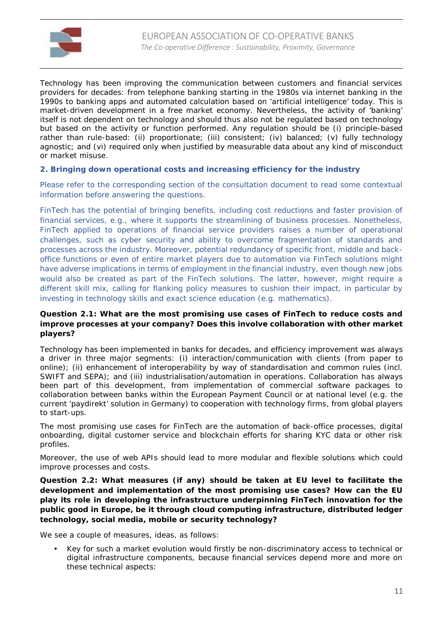

Technology has been improving the communication between customers and financial services providers for decades: from telephone banking starting in the 1980s via internet banking in the 1990s to banking apps and automated calculation based on 'artificial intelligence' today. This is market-driven development in a free market economy. Nevertheless, the activity of 'banking' itself is not dependent on technology and should thus also not be regulated based on technology but based on the activity or function performed. Any regulation should be (i) principle-based rather than rule-based: (ii) proportionate; (iii) consistent; (iv) balanced; (v) fully technology agnostic; and (vi) required only when justified by measurable data about any kind of misconduct or market misuse.

**2. Bringing down operational costs and increasing efficiency for the industry**

Please refer to the corresponding section of the consultation document to read some contextual information before answering the questions.

FinTech has the potential of bringing benefits, including cost reductions and faster provision of financial services, e.g., where it supports the streamlining of business processes. Nonetheless, FinTech applied to operations of financial service providers raises a number of operational challenges, such as cyber security and ability to overcome fragmentation of standards and processes across the industry. Moreover, potential redundancy of specific front, middle and back office functions or even of entire market players due to automation via FinTech solutions might have adverse implications in terms of employment in the financial industry, even though new jobs would also be created as part of the FinTech solutions. The latter, however, might require a different skill mix, calling for flanking policy measures to cushion their impact, in particular by investing in technology skills and exact science education (e.g. mathematics).

**Question 2.1: What are the most promising use cases of FinTech to reduce costs and improve processes at your company? Does this involve collaboration with other market players?**

Technology has been implemented in banks for decades, and efficiency improvement was always a driver in three major segments: (i) interaction/communication with clients (from paper to online); (ii) enhancement of interoperability by way of standardisation and common rules (incl. SWIFT and SEPA); and (iii) industrialisation/automation in operations. Collaboration has always been part of this development, from implementation of commercial software packages to collaboration between banks within the European Payment Council or at national level (e.g. the current 'paydirekt' solution in Germany) to cooperation with technology firms, from global players to start-ups.

The most promising use cases for FinTech are the automation of back-office processes, digital onboarding, digital customer service and blockchain efforts for sharing KYC data or other risk profiles.

Moreover, the use of web APIs should lead to more modular and flexible solutions which could improve processes and costs.

**Question 2.2: What measures (if any) should be taken at EU level to facilitate the development and implementation of the most promising use cases? How can the EU play its role in developing the infrastructure underpinning FinTech innovation for the public good in Europe, be it through cloud computing infrastructure, distributed ledger technology, social media, mobile or security technology?**

We see a couple of measures, ideas, as follows:

 Key for such a market evolution would firstly be non-discriminatory access to technical or digital infrastructure components, because financial services depend more and more on these technical aspects: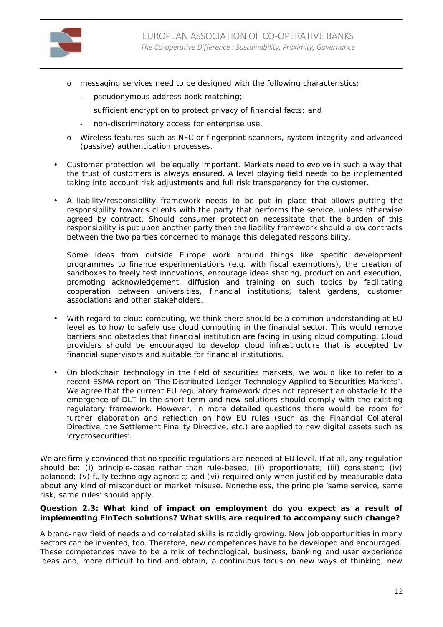

- o messaging services need to be designed with the following characteristics:
	- pseudonymous address book matching;
	- sufficient encryption to protect privacy of financial facts; and
	- non-discriminatory access for enterprise use.
- o Wireless features such as NFC or fingerprint scanners, system integrity and advanced (passive) authentication processes.
- Customer protection will be equally important. Markets need to evolve in such a way that the trust of customers is always ensured. A level playing field needs to be implemented taking into account risk adjustments and full risk transparency for the customer.
- A liability/responsibility framework needs to be put in place that allows putting the responsibility towards clients with the party that performs the service, unless otherwise agreed by contract. Should consumer protection necessitate that the burden of this responsibility is put upon another party then the liability framework should allow contracts between the two parties concerned to manage this delegated responsibility.

Some ideas from outside Europe work around things like specific development programmes to finance experimentations (e.g. with fiscal exemptions), the creation of sandboxes to freely test innovations, encourage ideas sharing, production and execution, promoting acknowledgement, diffusion and training on such topics by facilitating cooperation between universities, financial institutions, talent gardens, customer associations and other stakeholders.

- With regard to cloud computing, we think there should be a common understanding at EU level as to how to safely use cloud computing in the financial sector. This would remove barriers and obstacles that financial institution are facing in using cloud computing. Cloud providers should be encouraged to develop cloud infrastructure that is accepted by financial supervisors and suitable for financial institutions.
- On blockchain technology in the field of securities markets, we would like to refer to a recent ESMA report on '*The Distributed Ledger Technology Applied to Securities Markets'*. We agree that the current EU regulatory framework does not represent an obstacle to the emergence of DLT in the short term and new solutions should comply with the existing regulatory framework. However, in more detailed questions there would be room for further elaboration and reflection on how EU rules (such as the Financial Collateral Directive, the Settlement Finality Directive, etc.) are applied to new digital assets such as 'cryptosecurities'.

We are firmly convinced that no specific regulations are needed at EU level. If at all, any regulation should be: (i) principle-based rather than rule-based; (ii) proportionate; (iii) consistent; (iv) balanced; (v) fully technology agnostic; and (vi) required only when justified by measurable data about any kind of misconduct or market misuse. Nonetheless, the principle 'same service, same risk, same rules' should apply.

**Question 2.3: What kind of impact on employment do you expect as a result of implementing FinTech solutions? What skills are required to accompany such change?**

A brand-new field of needs and correlated skills is rapidly growing. New job opportunities in many sectors can be invented, too. Therefore, new competences have to be developed and encouraged. These competences have to be a mix of technological, business, banking and user experience ideas and, more difficult to find and obtain, a continuous focus on new ways of thinking, new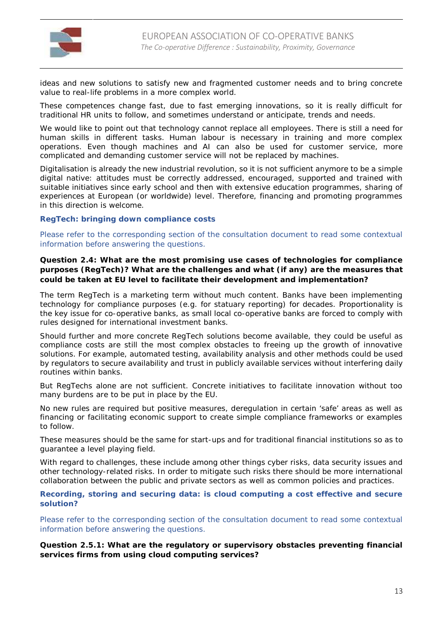

ideas and new solutions to satisfy new and fragmented customer needs and to bring concrete value to real-life problems in a more complex world.

These competences change fast, due to fast emerging innovations, so it is really difficult for traditional HR units to follow, and sometimes understand or anticipate, trends and needs.

We would like to point out that technology cannot replace all employees. There is still a need for human skills in different tasks. Human labour is necessary in training and more complex operations. Even though machines and AI can also be used for customer service, more complicated and demanding customer service will not be replaced by machines.

Digitalisation is already the new industrial revolution, so it is not sufficient anymore to be a simple digital native: attitudes must be correctly addressed, encouraged, supported and trained with suitable initiatives since early school and then with extensive education programmes, sharing of experiences at European (or worldwide) level. Therefore, financing and promoting programmes in this direction is welcome.

**RegTech: bringing down compliance costs**

Please refer to the corresponding section of the consultation document to read some contextual information before answering the questions.

**Question 2.4: What are the most promising use cases of technologies for compliance purposes (RegTech)? What are the challenges and what (if any) are the measures that could be taken at EU level to facilitate their development and implementation?**

The term RegTech is a marketing term without much content. Banks have been implementing technology for compliance purposes (e.g. for statuary reporting) for decades. Proportionality is the key issue for co-operative banks, as small local co-operative banks are forced to comply with rules designed for international investment banks.

Should further and more concrete RegTech solutions become available, they could be useful as compliance costs are still the most complex obstacles to freeing up the growth of innovative solutions. For example, automated testing, availability analysis and other methods could be used by regulators to secure availability and trust in publicly available services without interfering daily routines within banks.

But RegTechs alone are not sufficient. Concrete initiatives to facilitate innovation without too many burdens are to be put in place by the EU.

No new rules are required but positive measures, deregulation in certain 'safe' areas as well as financing or facilitating economic support to create simple compliance frameworks or examples to follow.

These measures should be the same for start-ups and for traditional financial institutions so as to guarantee a level playing field.

With regard to challenges, these include among other things cyber risks, data security issues and other technology-related risks. In order to mitigate such risks there should be more international collaboration between the public and private sectors as well as common policies and practices.

**Recording, storing and securing data: is cloud computing a cost effective and secure solution?**

Please refer to the corresponding section of the consultation document to read some contextual information before answering the questions.

**Question 2.5.1: What are the regulatory or supervisory obstacles preventing financial services firms from using cloud computing services?**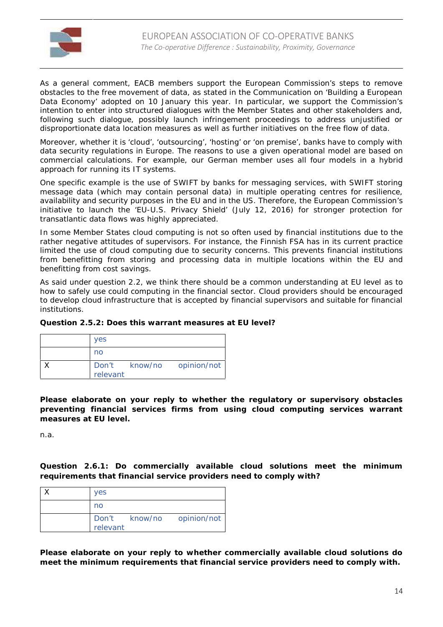

As a general comment, EACB members support the European Commission's steps to remove obstacles to the free movement of data, as stated in the Communication on 'Building a European Data Economy' adopted on 10 January this year. In particular, we support the Commission's intention to enter into structured dialogues with the Member States and other stakeholders and, following such dialogue, possibly launch infringement proceedings to address unjustified or disproportionate data location measures as well as further initiatives on the free flow of data.

Moreover, whether it is 'cloud', 'outsourcing', 'hosting' or 'on premise', banks have to comply with data security regulations in Europe. The reasons to use a given operational model are based on commercial calculations. For example, our German member uses all four models in a hybrid approach for running its IT systems.

One specific example is the use of SWIFT by banks for messaging services, with SWIFT storing message data (which may contain personal data) in multiple operating centres for resilience, availability and security purposes in the EU and in the US. Therefore, the European Commission's initiative to launch the 'EU-U.S. Privacy Shield' (July 12, 2016) for stronger protection for transatlantic data flows was highly appreciated.

In some Member States cloud computing is not so often used by financial institutions due to the rather negative attitudes of supervisors. For instance, the Finnish FSA has in its current practice limited the use of cloud computing due to security concerns. This prevents financial institutions from benefitting from storing and processing data in multiple locations within the EU and benefitting from cost savings.

As said under question 2.2, we think there should be a common understanding at EU level as to how to safely use could computing in the financial sector. Cloud providers should be encouraged to develop cloud infrastructure that is accepted by financial supervisors and suitable for financial institutions.

| Question 2.5.2: Does this warrant measures at EU level? |
|---------------------------------------------------------|
|---------------------------------------------------------|

| <b>yes</b> |                           |
|------------|---------------------------|
| no         |                           |
|            | Don't know/no opinion/not |
| relevant   |                           |

**Please elaborate on your reply to whether the regulatory or supervisory obstacles preventing financial services firms from using cloud computing services warrant measures at EU level.**

n.a.

**Question 2.6.1: Do commercially available cloud solutions meet the minimum requirements that financial service providers need to comply with?**

| <b>ves</b> |                           |
|------------|---------------------------|
| no         |                           |
| relevant   | Don't know/no opinion/not |

**Please elaborate on your reply to whether commercially available cloud solutions do meet the minimum requirements that financial service providers need to comply with.**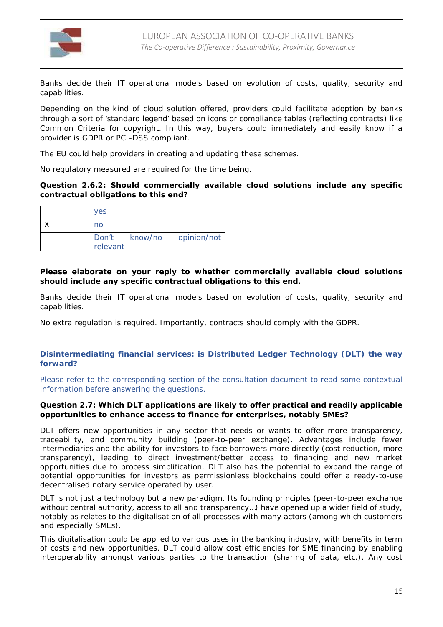

Banks decide their IT operational models based on evolution of costs, quality, security and capabilities.

Depending on the kind of cloud solution offered, providers could facilitate adoption by banks through a sort of 'standard legend' based on icons or compliance tables (reflecting contracts) like Common Criteria for copyright. In this way, buyers could immediately and easily know if a provider is GDPR or PCI-DSS compliant.

The EU could help providers in creating and updating these schemes.

No regulatory measured are required for the time being.

**Question 2.6.2: Should commercially available cloud solutions include any specific contractual obligations to this end?**

| <b>yes</b> |                           |
|------------|---------------------------|
| no         |                           |
| relevant   | Don't know/no opinion/not |

**Please elaborate on your reply to whether commercially available cloud solutions should include any specific contractual obligations to this end.**

Banks decide their IT operational models based on evolution of costs, quality, security and capabilities.

No extra regulation is required. Importantly, contracts should comply with the GDPR.

**Disintermediating financial services: is Distributed Ledger Technology (DLT) the way forward?**

Please refer to the corresponding section of the consultation document to read some contextual information before answering the questions.

**Question 2.7: Which DLT applications are likely to offer practical and readily applicable opportunities to enhance access to finance for enterprises, notably SMEs?**

DLT offers new opportunities in any sector that needs or wants to offer more transparency, traceability, and community building (peer-to-peer exchange). Advantages include fewer intermediaries and the ability for investors to face borrowers more directly (cost reduction, more transparency), leading to direct investment/better access to financing and new market opportunities due to process simplification. DLT also has the potential to expand the range of potential opportunities for investors as permissionless blockchains could offer a ready-to-use decentralised notary service operated by user.

DLT is not just a technology but a new paradigm. Its founding principles (peer-to-peer exchange without central authority, access to all and transparency…) have opened up a wider field of study, notably as relates to the digitalisation of all processes with many actors (among which customers and especially SMEs).

This digitalisation could be applied to various uses in the banking industry, with benefits in term of costs and new opportunities. DLT could allow cost efficiencies for SME financing by enabling interoperability amongst various parties to the transaction (sharing of data, etc.). Any cost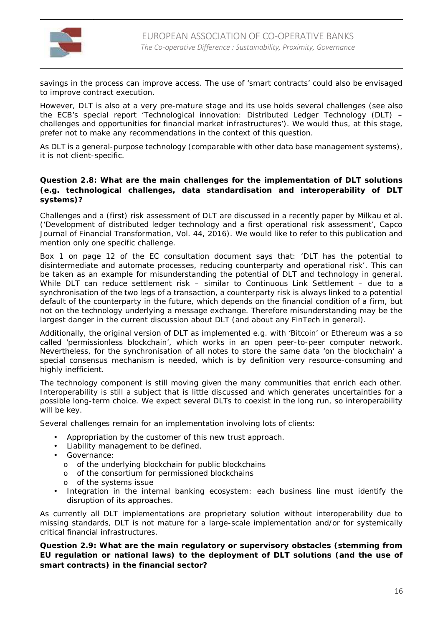

savings in the process can improve access. The use of 'smart contracts' could also be envisaged to improve contract execution.

However, DLT is also at a very pre-mature stage and its use holds several challenges (see also the ECB's special report 'Technological innovation: Distributed Ledger Technology (DLT) – challenges and opportunities for financial market infrastructures'). We would thus, at this stage, prefer not to make any recommendations in the context of this question.

As DLT is a general-purpose technology (comparable with other data base management systems), it is not client-specific.

**Question 2.8: What are the main challenges for the implementation of DLT solutions (e.g. technological challenges, data standardisation and interoperability of DLT systems)?**

Challenges and a (first) risk assessment of DLT are discussed in a recently paper by Milkau et al. ('Development of distributed ledger technology and a first operational risk assessment', Capco Journal of Financial Transformation, Vol. 44, 2016). We would like to refer to this publication and mention only one specific challenge.

Box 1 on page 12 of the EC consultation document says that: '*DLT has the potential to disintermediate and automate processes, reducing counterparty and operational risk'*. This can be taken as an example for misunderstanding the potential of DLT and technology in general. While DLT can reduce settlement risk – similar to Continuous Link Settlement – due to a synchronisation of the two legs of a transaction, a counterparty risk is always linked to a potential default of the counterparty in the future, which depends on the financial condition of a firm, but not on the technology underlying a message exchange. Therefore misunderstanding may be the largest danger in the current discussion about DLT (and about any FinTech in general).

Additionally, the original version of DLT as implemented e.g. with 'Bitcoin' or Ethereum was a so called 'permissionless blockchain', which works in an open peer-to-peer computer network. Nevertheless, for the synchronisation of all notes to store the same data 'on the blockchain' a special consensus mechanism is needed, which is by definition very resource-consuming and highly inefficient.

The technology component is still moving given the many communities that enrich each other. Interoperability is still a subject that is little discussed and which generates uncertainties for a possible long-term choice. We expect several DLTs to coexist in the long run, so interoperability will be key.

Several challenges remain for an implementation involving lots of clients:

- Appropriation by the customer of this new trust approach.
- Liability management to be defined.
- Governance:
	- o of the underlying blockchain for public blockchains
	- o of the consortium for permissioned blockchains
	- o of the systems issue
- Integration in the internal banking ecosystem: each business line must identify the disruption of its approaches.

As currently all DLT implementations are proprietary solution without interoperability due to missing standards, DLT is not mature for a large-scale implementation and/or for systemically critical financial infrastructures.

**Question 2.9: What are the main regulatory or supervisory obstacles (stemming from EU regulation or national laws) to the deployment of DLT solutions (and the use of smart contracts) in the financial sector?**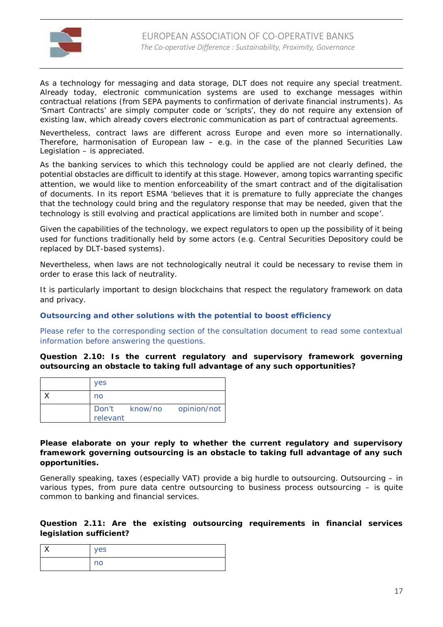

As a technology for messaging and data storage, DLT does not require any special treatment. Already today, electronic communication systems are used to exchange messages within contractual relations (from SEPA payments to confirmation of derivate financial instruments). As 'Smart Contracts' are simply computer code or 'scripts', they do not require any extension of existing law, which already covers electronic communication as part of contractual agreements.

Nevertheless, contract laws are different across Europe and even more so internationally. Therefore, harmonisation of European law – e.g. in the case of the planned Securities Law Legislation – is appreciated.

As the banking services to which this technology could be applied are not clearly defined, the potential obstacles are difficult to identify at this stage. However, among topics warranting specific attention, we would like to mention enforceability of the smart contract and of the digitalisation of documents. In its report ESMA '*believes that it is premature to fully appreciate the changes that the technology could bring and the regulatory response that may be needed, given that the technology is still evolving and practical applications are limited both in number and scope*'.

Given the capabilities of the technology, we expect regulators to open up the possibility of it being used for functions traditionally held by some actors (e.g. Central Securities Depository could be replaced by DLT-based systems).

Nevertheless, when laws are not technologically neutral it could be necessary to revise them in order to erase this lack of neutrality.

It is particularly important to design blockchains that respect the regulatory framework on data and privacy.

**Outsourcing and other solutions with the potential to boost efficiency**

Please refer to the corresponding section of the consultation document to read some contextual information before answering the questions.

**Question 2.10: Is the current regulatory and supervisory framework governing outsourcing an obstacle to taking full advantage of any such opportunities?**

| <b>yes</b> |                           |
|------------|---------------------------|
| no         |                           |
| relevant   | Don't know/no opinion/not |

**Please elaborate on your reply to whether the current regulatory and supervisory framework governing outsourcing is an obstacle to taking full advantage of any such opportunities.**

Generally speaking, taxes (especially VAT) provide a big hurdle to outsourcing. Outsourcing – in various types, from pure data centre outsourcing to business process outsourcing – is quite common to banking and financial services.

**Question 2.11: Are the existing outsourcing requirements in financial services legislation sufficient?**

| $\cdot$ | yes<br>◡ |
|---------|----------|
|         | no       |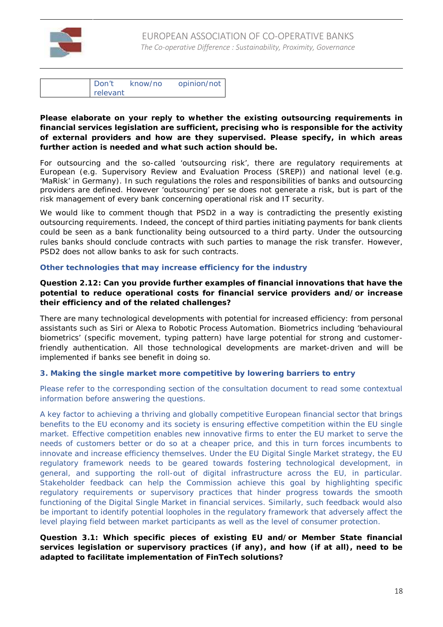

| D <sub>on't</sub> | know/no | opinion/not |
|-------------------|---------|-------------|
| relevant          |         |             |

**Please elaborate on your reply to whether the existing outsourcing requirements in financial services legislation are sufficient, precising who is responsible for the activity of external providers and how are they supervised. Please specify, in which areas further action is needed and what such action should be.**

For outsourcing and the so-called 'outsourcing risk', there are regulatory requirements at European (e.g. Supervisory Review and Evaluation Process (SREP)) and national level (e.g. 'MaRisk' in Germany). In such regulations the roles and responsibilities of banks and outsourcing providers are defined. However 'outsourcing' per se does not generate a risk, but is part of the risk management of every bank concerning operational risk and IT security.

We would like to comment though that PSD2 in a way is contradicting the presently existing outsourcing requirements. Indeed, the concept of third parties initiating payments for bank clients could be seen as a bank functionality being outsourced to a third party. Under the outsourcing rules banks should conclude contracts with such parties to manage the risk transfer. However, PSD2 does not allow banks to ask for such contracts.

#### **Other technologies that may increase efficiency for the industry**

**Question 2.12: Can you provide further examples of financial innovations that have the potential to reduce operational costs for financial service providers and/or increase their efficiency and of the related challenges?**

There are many technological developments with potential for increased efficiency: from personal assistants such as Siri or Alexa to Robotic Process Automation. Biometrics including 'behavioural biometrics' (specific movement, typing pattern) have large potential for strong and customerfriendly authentication. All those technological developments are market-driven and will be implemented if banks see benefit in doing so.

# **3. Making the single market more competitive by lowering barriers to entry**

Please refer to the corresponding section of the consultation document to read some contextual information before answering the questions.

A key factor to achieving a thriving and globally competitive European financial sector that brings benefits to the EU economy and its society is ensuring effective competition within the EU single market. Effective competition enables new innovative firms to enter the EU market to serve the needs of customers better or do so at a cheaper price, and this in turn forces incumbents to innovate and increase efficiency themselves. Under the EU Digital Single Market strategy, the EU regulatory framework needs to be geared towards fostering technological development, in general, and supporting the roll-out of digital infrastructure across the EU, in particular. Stakeholder feedback can help the Commission achieve this goal by highlighting specific regulatory requirements or supervisory practices that hinder progress towards the smooth functioning of the Digital Single Market in financial services. Similarly, such feedback would also be important to identify potential loopholes in the regulatory framework that adversely affect the level playing field between market participants as well as the level of consumer protection.

**Question 3.1: Which specific pieces of existing EU and/or Member State financial services legislation or supervisory practices (if any), and how (if at all), need to be adapted to facilitate implementation of FinTech solutions?**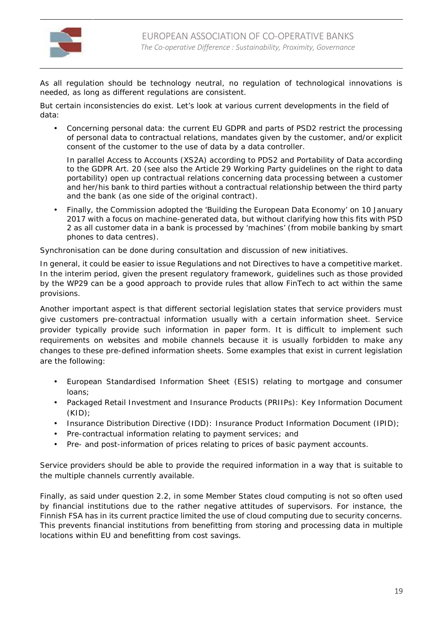

As all regulation should be technology neutral, no regulation of technological innovations is needed, as long as different regulations are consistent.

But certain inconsistencies do exist. Let's look at various current developments in the field of data:

 Concerning personal data: the current EU GDPR and parts of PSD2 restrict the processing of personal data to contractual relations, mandates given by the customer, and/or explicit consent of the customer to the use of data by a data controller.

In parallel Access to Accounts (XS2A) according to PDS2 and Portability of Data according to the GDPR Art. 20 (see also the Article 29 Working Party guidelines on the right to data portability) open up contractual relations concerning data processing between a customer and her/his bank to third parties without a contractual relationship between the third party and the bank (as one side of the original contract).

 Finally, the Commission adopted the 'Building the European Data Economy' on 10 January 2017 with a focus on machine-generated data, but without clarifying how this fits with PSD 2 as all customer data in a bank is processed by 'machines' (from mobile banking by smart phones to data centres).

Synchronisation can be done during consultation and discussion of new initiatives.

In general, it could be easier to issue Regulations and not Directives to have a competitive market. In the interim period, given the present regulatory framework, guidelines such as those provided by the WP29 can be a good approach to provide rules that allow FinTech to act within the same provisions.

Another important aspect is that different sectorial legislation states that service providers must give customers pre-contractual information usually with a certain information sheet. Service provider typically provide such information in paper form. It is difficult to implement such requirements on websites and mobile channels because it is usually forbidden to make any changes to these pre-defined information sheets. Some examples that exist in current legislation are the following:

- European Standardised Information Sheet (ESIS) relating to mortgage and consumer loans;
- Packaged Retail Investment and Insurance Products (PRIIPs): Key Information Document (KID);
- Insurance Distribution Directive (IDD): Insurance Product Information Document (IPID);
- Pre-contractual information relating to payment services; and
- Pre- and post-information of prices relating to prices of basic payment accounts.

Service providers should be able to provide the required information in a way that is suitable to the multiple channels currently available.

Finally, as said under question 2.2, in some Member States cloud computing is not so often used by financial institutions due to the rather negative attitudes of supervisors. For instance, the Finnish FSA has in its current practice limited the use of cloud computing due to security concerns. This prevents financial institutions from benefitting from storing and processing data in multiple locations within EU and benefitting from cost savings.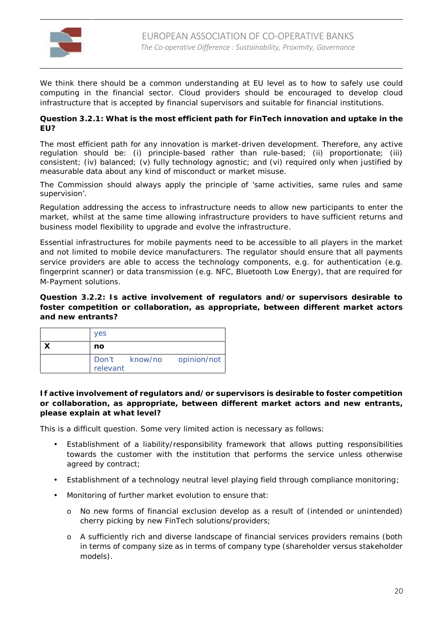

We think there should be a common understanding at EU level as to how to safely use could computing in the financial sector. Cloud providers should be encouraged to develop cloud infrastructure that is accepted by financial supervisors and suitable for financial institutions.

**Question 3.2.1: What is the most efficient path for FinTech innovation and uptake in the EU?**

The most efficient path for any innovation is market-driven development. Therefore, any active regulation should be: (i) principle-based rather than rule-based; (ii) proportionate; (iii) consistent; (iv) balanced; (v) fully technology agnostic; and (vi) required only when justified by measurable data about any kind of misconduct or market misuse.

The Commission should always apply the principle of 'same activities, same rules and same supervision'.

Regulation addressing the access to infrastructure needs to allow new participants to enter the market, whilst at the same time allowing infrastructure providers to have sufficient returns and business model flexibility to upgrade and evolve the infrastructure.

Essential infrastructures for mobile payments need to be accessible to all players in the market and not limited to mobile device manufacturers. The regulator should ensure that all payments service providers are able to access the technology components, e.g. for authentication (e.g. fingerprint scanner) or data transmission (e.g. NFC, Bluetooth Low Energy), that are required for M-Payment solutions.

**Question 3.2.2: Is active involvement of regulators and/or supervisors desirable to foster competition or collaboration, as appropriate, between different market actors and new entrants?**

| <b>ves</b> |                           |
|------------|---------------------------|
| no         |                           |
| relevant   | Don't know/no opinion/not |

**If active involvement of regulators and/or supervisors is desirable to foster competition or collaboration, as appropriate, between different market actors and new entrants, please explain at what level?**

This is a difficult question. Some very limited action is necessary as follows:

- Establishment of a liability/responsibility framework that allows putting responsibilities towards the customer with the institution that performs the service unless otherwise agreed by contract;
- Establishment of a technology neutral level playing field through compliance monitoring;
- Monitoring of further market evolution to ensure that:
	- o No new forms of financial exclusion develop as a result of (intended or unintended) cherry picking by new FinTech solutions/providers;
	- o A sufficiently rich and diverse landscape of financial services providers remains (both in terms of company size as in terms of company type (shareholder versus stakeholder models).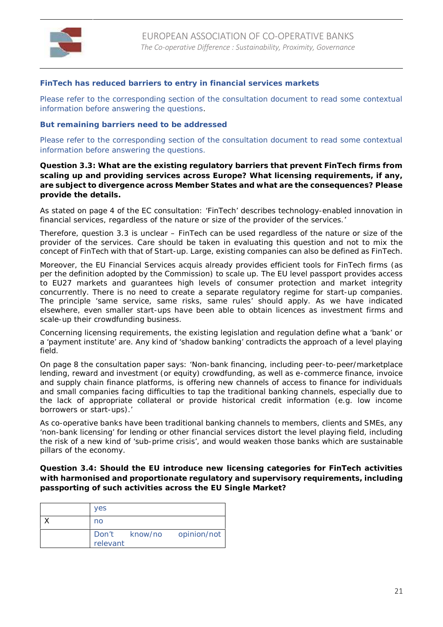

# **FinTech has reduced barriers to entry in financial services markets**

Please refer to the corresponding section of the consultation document to read some contextual information before answering the questions.

**But remaining barriers need to be addressed**

Please refer to the corresponding section of the consultation document to read some contextual information before answering the questions.

**Question 3.3: What are the existing regulatory barriers that prevent FinTech firms from scaling up and providing services across Europe? What licensing requirements, if any, are subject to divergence across Member States and what are the consequences? Please provide the details.**

As stated on page 4 of the EC consultation: *'FinTech' describes technology-enabled innovation in financial services, regardless of the nature or size of the provider of the services.*'

Therefore, question 3.3 is unclear – FinTech can be used regardless of the nature or size of the provider of the services. Care should be taken in evaluating this question and not to mix the concept of FinTech with that of Start-up. Large, existing companies can also be defined as FinTech.

Moreover, the EU Financial Services acquis already provides efficient tools for FinTech firms (as per the definition adopted by the Commission) to scale up. The EU level passport provides access to EU27 markets and guarantees high levels of consumer protection and market integrity concurrently. There is no need to create a separate regulatory regime for start-up companies. The principle 'same service, same risks, same rules' should apply. As we have indicated elsewhere, even smaller start-ups have been able to obtain licences as investment firms and scale-up their crowdfunding business.

Concerning licensing requirements, the existing legislation and regulation define what a 'bank' or a 'payment institute' are. Any kind of 'shadow banking' contradicts the approach of a level playing field.

On page 8 the consultation paper says: '*Non-bank financing, including peer-to-peer/marketplace lending, reward and investment (or equity) crowdfunding, as well as e-commerce finance, invoice and supply chain finance platforms, is offering new channels of access to finance for individuals and small companies facing difficulties to tap the traditional banking channels, especially due to the lack of appropriate collateral or provide historical credit information (e.g. low income borrowers or start-ups).'*

As co-operative banks have been traditional banking channels to members, clients and SMEs, any 'non-bank licensing' for lending or other financial services distort the level playing field, including the risk of a new kind of 'sub-prime crisis', and would weaken those banks which are sustainable pillars of the economy.

**Question 3.4: Should the EU introduce new licensing categories for FinTech activities with harmonised and proportionate regulatory and supervisory requirements, including passporting of such activities across the EU Single Market?**

| <b>yes</b> |                           |
|------------|---------------------------|
| no         |                           |
| relevant   | Don't know/no opinion/not |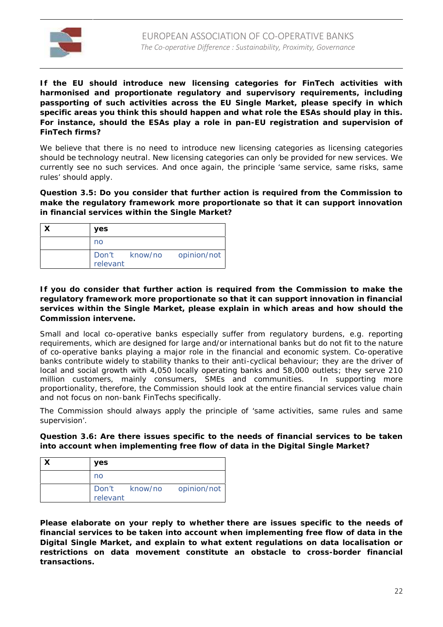

**If the EU should introduce new licensing categories for FinTech activities with harmonised and proportionate regulatory and supervisory requirements, including passporting of such activities across the EU Single Market, please specify in which specific areas you think this should happen and what role the ESAs should play in this. For instance, should the ESAs play a role in pan-EU registration and supervision of FinTech firms?**

We believe that there is no need to introduce new licensing categories as licensing categories should be technology neutral. New licensing categories can only be provided for new services. We currently see no such services. And once again, the principle 'same service, same risks, same rules' should apply.

**Question 3.5: Do you consider that further action is required from the Commission to make the regulatory framework more proportionate so that it can support innovation in financial services within the Single Market?**

| yes      |                           |
|----------|---------------------------|
| no       |                           |
| relevant | Don't know/no opinion/not |

**If you do consider that further action is required from the Commission to make the regulatory framework more proportionate so that it can support innovation in financial services within the Single Market, please explain in which areas and how should the Commission intervene.**

Small and local co-operative banks especially suffer from regulatory burdens, e.g. reporting requirements, which are designed for large and/or international banks but do not fit to the nature of co-operative banks playing a major role in the financial and economic system. Co-operative banks contribute widely to stability thanks to their anti-cyclical behaviour; they are the driver of local and social growth with 4,050 locally operating banks and 58,000 outlets; they serve 210 million customers, mainly consumers, SMEs and communities. In supporting more proportionality, therefore, the Commission should look at the entire financial services value chain and not focus on non-bank FinTechs specifically.

The Commission should always apply the principle of 'same activities, same rules and same supervision'.

**Question 3.6: Are there issues specific to the needs of financial services to be taken into account when implementing free flow of data in the Digital Single Market?**

| <b>ves</b> |                           |
|------------|---------------------------|
| no         |                           |
| relevant   | Don't know/no opinion/not |

**Please elaborate on your reply to whether there are issues specific to the needs of financial services to be taken into account when implementing free flow of data in the Digital Single Market, and explain to what extent regulations on data localisation or restrictions on data movement constitute an obstacle to cross-border financial transactions.**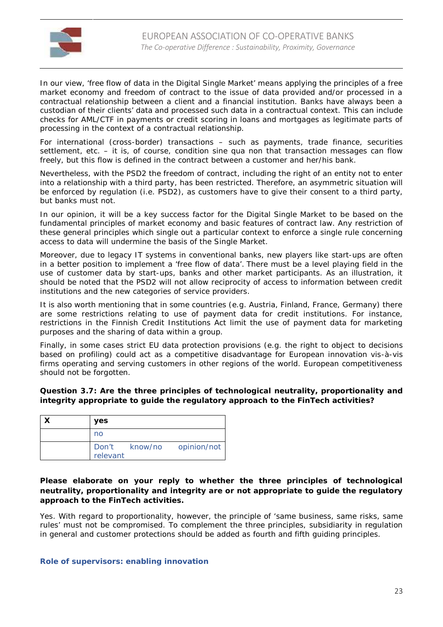

In our view, 'free flow of data in the Digital Single Market' means applying the principles of a free market economy and freedom of contract to the issue of data provided and/or processed in a contractual relationship between a client and a financial institution. Banks have always been a custodian of their clients' data and processed such data in a contractual context. This can include checks for AML/CTF in payments or credit scoring in loans and mortgages as legitimate parts of processing in the context of a contractual relationship.

For international (cross-border) transactions – such as payments, trade finance, securities settlement, etc. – it is, of course, *condition sine qua non* that transaction messages can flow freely, but this flow is defined in the contract between a customer and her/his bank.

Nevertheless, with the PSD2 the freedom of contract, including the right of an entity not to enter into a relationship with a third party, has been restricted. Therefore, an asymmetric situation will be enforced by regulation (i.e. PSD2), as customers have to give their consent to a third party, but banks must not.

In our opinion, it will be a key success factor for the Digital Single Market to be based on the fundamental principles of market economy and basic features of contract law. Any restriction of these general principles which single out a particular context to enforce a single rule concerning access to data will undermine the basis of the Single Market.

Moreover, due to legacy IT systems in conventional banks, new players like start-ups are often in a better position to implement a 'free flow of data'. There must be a level playing field in the use of customer data by start-ups, banks and other market participants. As an illustration, it should be noted that the PSD2 will not allow reciprocity of access to information between credit institutions and the new categories of service providers.

It is also worth mentioning that in some countries (e.g. Austria, Finland, France, Germany) there are some restrictions relating to use of payment data for credit institutions. For instance, restrictions in the Finnish Credit Institutions Act limit the use of payment data for marketing purposes and the sharing of data within a group.

Finally, in some cases strict EU data protection provisions (e.g. the right to object to decisions based on profiling) could act as a competitive disadvantage for European innovation vis-à-vis firms operating and serving customers in other regions of the world. European competitiveness should not be forgotten.

**Question 3.7: Are the three principles of technological neutrality, proportionality and integrity appropriate to guide the regulatory approach to the FinTech activities?**

| <b>ves</b> |                           |
|------------|---------------------------|
| no         |                           |
| relevant   | Don't know/no opinion/not |

**Please elaborate on your reply to whether the three principles of technological neutrality, proportionality and integrity are or not appropriate to guide the regulatory approach to the FinTech activities.**

Yes. With regard to proportionality, however, the principle of 'same business, same risks, same rules' must not be compromised. To complement the three principles, subsidiarity in regulation in general and customer protections should be added as fourth and fifth guiding principles.

**Role of supervisors: enabling innovation**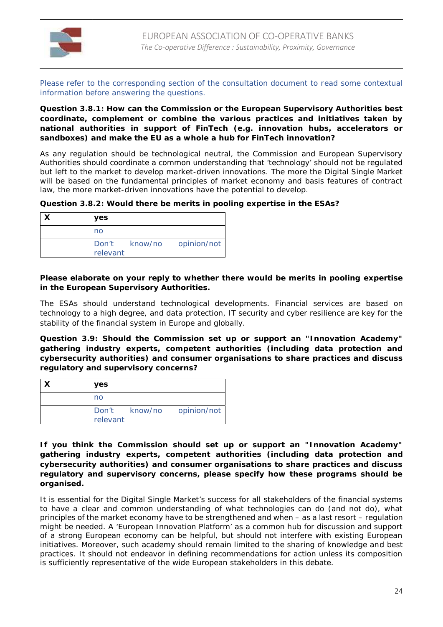

Please refer to the corresponding section of the consultation document to read some contextual information before answering the questions.

**Question 3.8.1: How can the Commission or the European Supervisory Authorities best coordinate, complement or combine the various practices and initiatives taken by national authorities in support of FinTech (e.g. innovation hubs, accelerators or sandboxes) and make the EU as a whole a hub for FinTech innovation?**

As any regulation should be technological neutral, the Commission and European Supervisory Authorities should coordinate a common understanding that 'technology' should not be regulated but left to the market to develop market-driven innovations. The more the Digital Single Market will be based on the fundamental principles of market economy and basis features of contract law, the more market-driven innovations have the potential to develop.

**Question 3.8.2: Would there be merits in pooling expertise in the ESAs?**

| <b>ves</b> |                           |
|------------|---------------------------|
| no         |                           |
| relevant   | Don't know/no opinion/not |

**Please elaborate on your reply to whether there would be merits in pooling expertise in the European Supervisory Authorities.**

The ESAs should understand technological developments. Financial services are based on technology to a high degree, and data protection, IT security and cyber resilience are key for the stability of the financial system in Europe and globally.

**Question 3.9: Should the Commission set up or support an "Innovation Academy" gathering industry experts, competent authorities (including data protection and cybersecurity authorities) and consumer organisations to share practices and discuss regulatory and supervisory concerns?**

| yes      |                           |
|----------|---------------------------|
| no       |                           |
| relevant | Don't know/no opinion/not |

**If you think the Commission should set up or support an "Innovation Academy" gathering industry experts, competent authorities (including data protection and cybersecurity authorities) and consumer organisations to share practices and discuss regulatory and supervisory concerns, please specify how these programs should be organised.**

It is essential for the Digital Single Market's success for all stakeholders of the financial systems to have a clear and common understanding of what technologies can do (and not do), what principles of the market economy have to be strengthened and when – as a last resort – regulation might be needed. A 'European Innovation Platform' as a common hub for discussion and support of a strong European economy can be helpful, but should not interfere with existing European initiatives. Moreover, such academy should remain limited to the sharing of knowledge and best practices. It should not endeavor in defining recommendations for action unless its composition is sufficiently representative of the wide European stakeholders in this debate.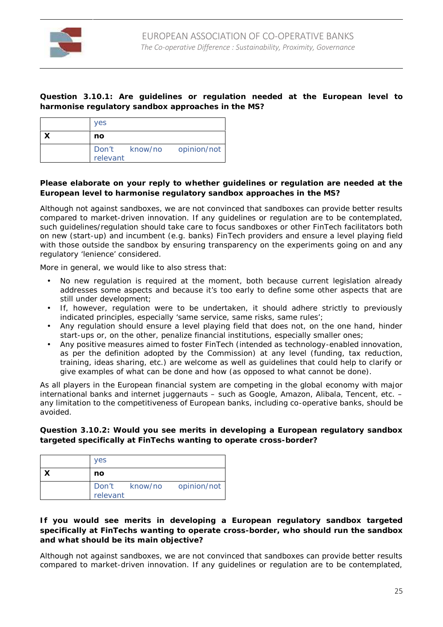

**Question 3.10.1: Are guidelines or regulation needed at the European level to harmonise regulatory sandbox approaches in the MS?**

| <b>ves</b> |                           |
|------------|---------------------------|
| no         |                           |
|            | Don't know/no opinion/not |
| relevant   |                           |

**Please elaborate on your reply to whether guidelines or regulation are needed at the European level to harmonise regulatory sandbox approaches in the MS?**

Although not against sandboxes, we are not convinced that sandboxes can provide better results compared to market-driven innovation. If any guidelines or regulation are to be contemplated, such guidelines/regulation should take care to focus sandboxes or other FinTech facilitators both on new (start-up) and incumbent (e.g. banks) FinTech providers and ensure a level playing field with those outside the sandbox by ensuring transparency on the experiments going on and any regulatory 'lenience' considered.

More in general, we would like to also stress that:

- No new regulation is required at the moment, both because current legislation already addresses some aspects and because it's too early to define some other aspects that are still under development;
- If, however, regulation were to be undertaken, it should adhere strictly to previously indicated principles, especially 'same service, same risks, same rules';
- Any regulation should ensure a level playing field that does not, on the one hand, hinder start-ups or, on the other, penalize financial institutions, especially smaller ones;
- Any positive measures aimed to foster FinTech (intended as technology-enabled innovation, as per the definition adopted by the Commission) at any level (funding, tax reduction, training, ideas sharing, etc.) are welcome as well as guidelines that could help to clarify or give examples of what can be done and how (as opposed to what cannot be done).

As all players in the European financial system are competing in the global economy with major international banks and internet juggernauts – such as Google, Amazon, Alibala, Tencent, etc. – any limitation to the competitiveness of European banks, including co-operative banks, should be avoided.

**Question 3.10.2: Would you see merits in developing a European regulatory sandbox targeted specifically at FinTechs wanting to operate cross-border?**

| <b>ves</b> |                           |
|------------|---------------------------|
| no         |                           |
| relevant   | Don't know/no opinion/not |

**If you would see merits in developing a European regulatory sandbox targeted specifically at FinTechs wanting to operate cross-border, who should run the sandbox and what should be its main objective?**

Although not against sandboxes, we are not convinced that sandboxes can provide better results compared to market-driven innovation. If any guidelines or regulation are to be contemplated,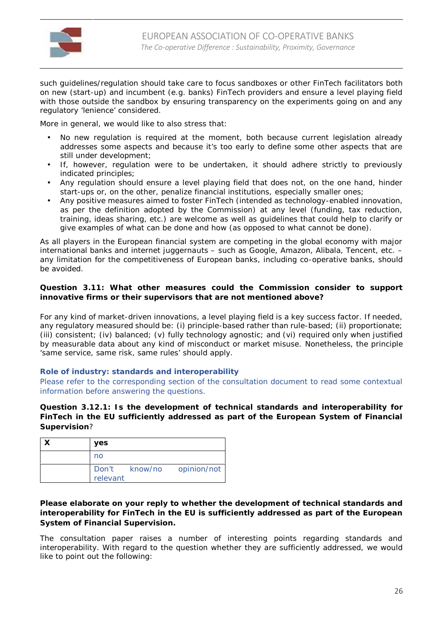

such guidelines/regulation should take care to focus sandboxes or other FinTech facilitators both on new (start-up) and incumbent (e.g. banks) FinTech providers and ensure a level playing field with those outside the sandbox by ensuring transparency on the experiments going on and any regulatory 'lenience' considered.

More in general, we would like to also stress that:

- No new regulation is required at the moment, both because current legislation already addresses some aspects and because it's too early to define some other aspects that are still under development;
- If, however, regulation were to be undertaken, it should adhere strictly to previously indicated principles;
- Any regulation should ensure a level playing field that does not, on the one hand, hinder start-ups or, on the other, penalize financial institutions, especially smaller ones;
- Any positive measures aimed to foster FinTech (intended as technology-enabled innovation, as per the definition adopted by the Commission) at any level (funding, tax reduction, training, ideas sharing, etc.) are welcome as well as guidelines that could help to clarify or give examples of what can be done and how (as opposed to what cannot be done).

As all players in the European financial system are competing in the global economy with major international banks and internet juggernauts – such as Google, Amazon, Alibala, Tencent, etc. – any limitation for the competitiveness of European banks, including co-operative banks, should be avoided.

**Question 3.11: What other measures could the Commission consider to support innovative firms or their supervisors that are not mentioned above?**

For any kind of market-driven innovations, a level playing field is a key success factor. If needed, any regulatory measured should be: (i) principle-based rather than rule-based; (ii) proportionate; (iii) consistent; (iv) balanced; (v) fully technology agnostic; and (vi) required only when justified by measurable data about any kind of misconduct or market misuse. Nonetheless, the principle 'same service, same risk, same rules' should apply.

#### **Role of industry: standards and interoperability**

Please refer to the corresponding section of the consultation document to read some contextual information before answering the questions.

**Question 3.12.1: Is the development of technical standards and interoperability for FinTech in the EU sufficiently addressed as part of the European System of Financial Supervision**?

| yes      |                           |
|----------|---------------------------|
| no       |                           |
| relevant | Don't know/no opinion/not |

**Please elaborate on your reply to whether the development of technical standards and interoperability for FinTech in the EU is sufficiently addressed as part of the European System of Financial Supervision.**

The consultation paper raises a number of interesting points regarding standards and interoperability. With regard to the question whether they are sufficiently addressed, we would like to point out the following: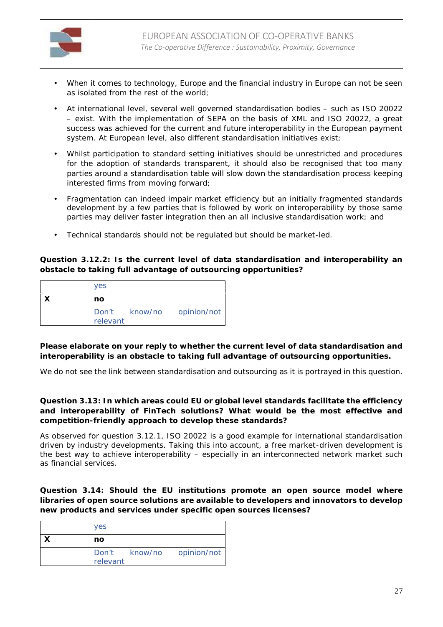

- When it comes to technology, Europe and the financial industry in Europe can not be seen as isolated from the rest of the world;
- At international level, several well governed standardisation bodies such as ISO 20022 – exist. With the implementation of SEPA on the basis of XML and ISO 20022, a great success was achieved for the current and future interoperability in the European payment system. At European level, also different standardisation initiatives exist;
- Whilst participation to standard setting initiatives should be unrestricted and procedures for the adoption of standards transparent, it should also be recognised that too many parties around a standardisation table will slow down the standardisation process keeping interested firms from moving forward;
- Fragmentation can indeed impair market efficiency but an initially fragmented standards development by a few parties that is followed by work on interoperability by those same parties may deliver faster integration then an all inclusive standardisation work; and
- Technical standards should not be regulated but should be market-led.

**Question 3.12.2: Is the current level of data standardisation and interoperability an obstacle to taking full advantage of outsourcing opportunities?**

| <b>yes</b> |                           |
|------------|---------------------------|
| no         |                           |
| relevant   | Don't know/no opinion/not |

**Please elaborate on your reply to whether the current level of data standardisation and interoperability is an obstacle to taking full advantage of outsourcing opportunities.**

We do not see the link between standardisation and outsourcing as it is portrayed in this question.

**Question 3.13: In which areas could EU or global level standards facilitate the efficiency and interoperability of FinTech solutions? What would be the most effective and competition-friendly approach to develop these standards?**

As observed for question 3.12.1, ISO 20022 is a good example for international standardisation driven by industry developments. Taking this into account, a free market-driven development is the best way to achieve interoperability – especially in an interconnected network market such as financial services.

**Question 3.14: Should the EU institutions promote an open source model where libraries of open source solutions are available to developers and innovators to develop new products and services under specific open sources licenses?**

| <b>ves</b> |                           |
|------------|---------------------------|
| no         |                           |
| relevant   | Don't know/no opinion/not |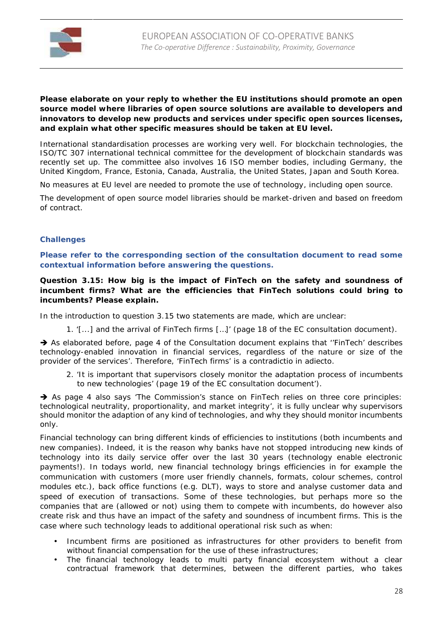

**Please elaborate on your reply to whether the EU institutions should promote an open source model where libraries of open source solutions are available to developers and innovators to develop new products and services under specific open sources licenses, and explain what other specific measures should be taken at EU level.**

International standardisation processes are working very well. For blockchain technologies, the ISO/TC 307 international technical committee for the development of blockchain standards was recently set up. The committee also involves 16 ISO member bodies, including Germany, the United Kingdom, France, Estonia, Canada, Australia, the United States, Japan and South Korea.

No measures at EU level are needed to promote the use of technology, including open source.

The development of open source model libraries should be market-driven and based on freedom of contract.

#### **Challenges**

**Please refer to the corresponding section of the consultation document to read some contextual information before answering the questions.**

**Question 3.15: How big is the impact of FinTech on the safety and soundness of incumbent firms? What are the efficiencies that FinTech solutions could bring to incumbents? Please explain.**

In the introduction to question 3.15 two statements are made, which are unclear:

1. '[...] *and the arrival of FinTech firms* […]' (page 18 of the EC consultation document).

 As elaborated before, page 4 of the Consultation document explains that '*'FinTech' describes technology-enabled innovation in financial services, regardless of the nature or size of the provider of the services'*. Therefore, 'FinTech firms' is a *contradictio in adiecto*.

2. '*It is important that supervisors closely monitor the adaptation process of incumbents to new technologies*' (page 19 of the EC consultation document').

 As page 4 also says '*The Commission's stance on FinTech relies on three core principles: technological neutrality, proportionality, and market integrity'*, it is fully unclear why supervisors should monitor the adaption of any kind of technologies, and why they should monitor incumbents only.

Financial technology can bring different kinds of efficiencies to institutions (both incumbents and new companies). Indeed, it is the reason why banks have not stopped introducing new kinds of technology into its daily service offer over the last 30 years (technology enable electronic payments!). In todays world, new financial technology brings efficiencies in for example the communication with customers (more user friendly channels, formats, colour schemes, control modules etc.), back office functions (e.g. DLT), ways to store and analyse customer data and speed of execution of transactions. Some of these technologies, but perhaps more so the companies that are (allowed or not) using them to compete with incumbents, do however also create risk and thus have an impact of the safety and soundness of incumbent firms. This is the case where such technology leads to additional operational risk such as when:

- Incumbent firms are positioned as infrastructures for other providers to benefit from without financial compensation for the use of these infrastructures;
- The financial technology leads to multi party financial ecosystem without a clear contractual framework that determines, between the different parties, who takes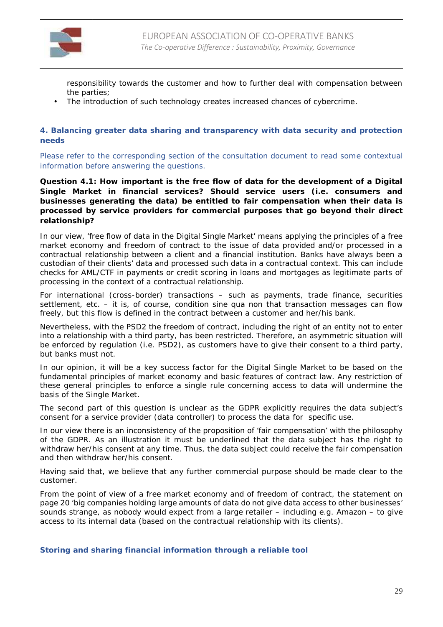

responsibility towards the customer and how to further deal with compensation between the parties;

The introduction of such technology creates increased chances of cybercrime.

**4. Balancing greater data sharing and transparency with data security and protection needs**

Please refer to the corresponding section of the consultation document to read some contextual information before answering the questions.

**Question 4.1: How important is the free flow of data for the development of a Digital Single Market in financial services? Should service users (i.e. consumers and businesses generating the data) be entitled to fair compensation when their data is processed by service providers for commercial purposes that go beyond their direct relationship?**

In our view, 'free flow of data in the Digital Single Market' means applying the principles of a free market economy and freedom of contract to the issue of data provided and/or processed in a contractual relationship between a client and a financial institution. Banks have always been a custodian of their clients' data and processed such data in a contractual context. This can include checks for AML/CTF in payments or credit scoring in loans and mortgages as legitimate parts of processing in the context of a contractual relationship.

For international (cross-border) transactions – such as payments, trade finance, securities settlement, etc. – it is, of course, *condition sine qua non* that transaction messages can flow freely, but this flow is defined in the contract between a customer and her/his bank.

Nevertheless, with the PSD2 the freedom of contract, including the right of an entity not to enter into a relationship with a third party, has been restricted. Therefore, an asymmetric situation will be enforced by regulation (i.e. PSD2), as customers have to give their consent to a third party, but banks must not.

In our opinion, it will be a key success factor for the Digital Single Market to be based on the fundamental principles of market economy and basic features of contract law. Any restriction of these general principles to enforce a single rule concerning access to data will undermine the basis of the Single Market.

The second part of this question is unclear as the GDPR explicitly requires the data subject's consent for a service provider (data controller) to process the data for specific use.

In our view there is an inconsistency of the proposition of 'fair compensation' with the philosophy of the GDPR. As an illustration it must be underlined that the data subject has the right to withdraw her/his consent at any time. Thus, the data subject could receive the fair compensation and then withdraw her/his consent.

Having said that, we believe that any further commercial purpose should be made clear to the customer.

From the point of view of a free market economy and of freedom of contract, the statement on page 20 '*big companies holding large amounts of data do not give data access to other businesses*' sounds strange, as nobody would expect from a large retailer – including e.g. Amazon – to give access to its internal data (based on the contractual relationship with its clients).

**Storing and sharing financial information through a reliable tool**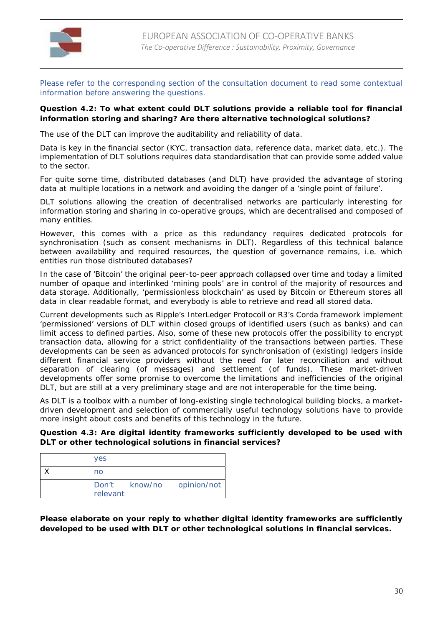

Please refer to the corresponding section of the consultation document to read some contextual information before answering the questions.

**Question 4.2: To what extent could DLT solutions provide a reliable tool for financial information storing and sharing? Are there alternative technological solutions?**

The use of the DLT can improve the auditability and reliability of data.

Data is key in the financial sector (KYC, transaction data, reference data, market data, etc.). The implementation of DLT solutions requires data standardisation that can provide some added value to the sector.

For quite some time, distributed databases (and DLT) have provided the advantage of storing data at multiple locations in a network and avoiding the danger of a 'single point of failure'.

DLT solutions allowing the creation of decentralised networks are particularly interesting for information storing and sharing in co-operative groups, which are decentralised and composed of many entities.

However, this comes with a price as this redundancy requires dedicated protocols for synchronisation (such as consent mechanisms in DLT). Regardless of this technical balance between availability and required resources, the question of governance remains, i.e. which entities run those distributed databases?

In the case of 'Bitcoin' the original peer-to-peer approach collapsed over time and today a limited number of opaque and interlinked 'mining pools' are in control of the majority of resources and data storage. Additionally, 'permissionless blockchain' as used by Bitcoin or Ethereum stores all data in clear readable format, and everybody is able to retrieve and read all stored data.

Current developments such as Ripple's InterLedger Protocoll or R3's Corda framework implement 'permissioned' versions of DLT within closed groups of identified users (such as banks) and can limit access to defined parties. Also, some of these new protocols offer the possibility to encrypt transaction data, allowing for a strict confidentiality of the transactions between parties. These developments can be seen as advanced protocols for synchronisation of (existing) ledgers inside different financial service providers without the need for later reconciliation and without separation of clearing (of messages) and settlement (of funds). These market-driven developments offer some promise to overcome the limitations and inefficiencies of the original DLT, but are still at a very preliminary stage and are not interoperable for the time being.

As DLT is a toolbox with a number of long-existing single technological building blocks, a market driven development and selection of commercially useful technology solutions have to provide more insight about costs and benefits of this technology in the future.

**Question 4.3: Are digital identity frameworks sufficiently developed to be used with DLT or other technological solutions in financial services?**

| <b>yes</b> |                           |
|------------|---------------------------|
| no         |                           |
| relevant   | Don't know/no opinion/not |

**Please elaborate on your reply to whether digital identity frameworks are sufficiently developed to be used with DLT or other technological solutions in financial services.**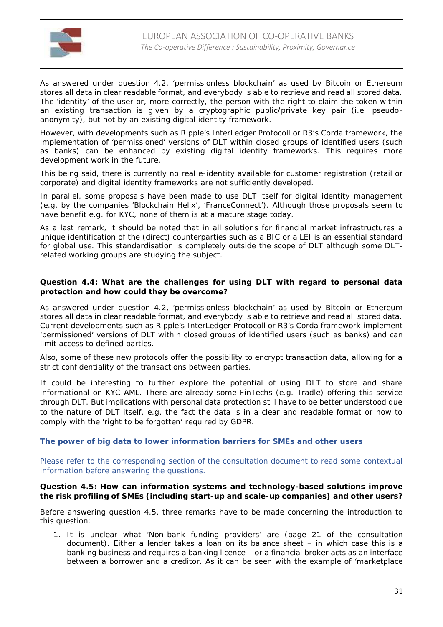

As answered under question 4.2, 'permissionless blockchain' as used by Bitcoin or Ethereum stores all data in clear readable format, and everybody is able to retrieve and read all stored data. The 'identity' of the user or, more correctly, the person with the right to claim the token within an existing transaction is given by a cryptographic public/private key pair (i.e. pseudo anonymity), but not by an existing digital identity framework.

However, with developments such as Ripple's InterLedger Protocoll or R3's Corda framework, the implementation of 'permissioned' versions of DLT within closed groups of identified users (such as banks) can be enhanced by existing digital identity frameworks. This requires more development work in the future.

This being said, there is currently no real e-identity available for customer registration (retail or corporate) and digital identity frameworks are not sufficiently developed.

In parallel, some proposals have been made to use DLT itself for digital identity management (e.g. by the companies 'Blockchain Helix', 'FranceConnect'). Although those proposals seem to have benefit e.g. for KYC, none of them is at a mature stage today.

As a last remark, it should be noted that in all solutions for financial market infrastructures a unique identification of the (direct) counterparties such as a BIC or a LEI is an essential standard for global use. This standardisation is completely outside the scope of DLT although some DLTrelated working groups are studying the subject.

**Question 4.4: What are the challenges for using DLT with regard to personal data protection and how could they be overcome?**

As answered under question 4.2, 'permissionless blockchain' as used by Bitcoin or Ethereum stores all data in clear readable format, and everybody is able to retrieve and read all stored data. Current developments such as Ripple's InterLedger Protocoll or R3's Corda framework implement 'permissioned' versions of DLT within closed groups of identified users (such as banks) and can limit access to defined parties.

Also, some of these new protocols offer the possibility to encrypt transaction data, allowing for a strict confidentiality of the transactions between parties.

It could be interesting to further explore the potential of using DLT to store and share informational on KYC-AML. There are already some FinTechs (e.g. Tradle) offering this service through DLT. But implications with personal data protection still have to be better understood due to the nature of DLT itself, e.g. the fact the data is in a clear and readable format or how to comply with the 'right to be forgotten' required by GDPR.

**The power of big data to lower information barriers for SMEs and other users**

Please refer to the corresponding section of the consultation document to read some contextual information before answering the questions.

**Question 4.5: How can information systems and technology-based solutions improve the risk profiling of SMEs (including start-up and scale-up companies) and other users?**

Before answering question 4.5, three remarks have to be made concerning the introduction to this question:

1. It is unclear what '*Non-bank funding providers*' are (page 21 of the consultation document). Either a lender takes a loan on its balance sheet – in which case this is a banking business and requires a banking licence – or a financial broker acts as an interface between a borrower and a creditor. As it can be seen with the example of 'marketplace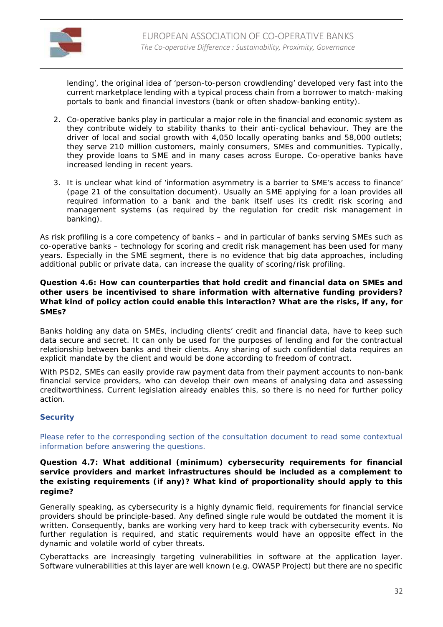

lending', the original idea of 'person-to-person crowdlending' developed very fast into the current marketplace lending with a typical process chain from a borrower to match-making portals to bank and financial investors (bank or often shadow-banking entity).

- 2. Co-operative banks play in particular a major role in the financial and economic system as they contribute widely to stability thanks to their anti-cyclical behaviour. They are the driver of local and social growth with 4,050 locally operating banks and 58,000 outlets; they serve 210 million customers, mainly consumers, SMEs and communities. Typically, they provide loans to SME and in many cases across Europe. Co-operative banks have increased lending in recent years.
- 3. It is unclear what kind of '*information asymmetry is a barrier to SME's access to finance*' (page 21 of the consultation document). Usually an SME applying for a loan provides all required information to a bank and the bank itself uses its credit risk scoring and management systems (as required by the regulation for credit risk management in banking).

As risk profiling is a core competency of banks – and in particular of banks serving SMEs such as co-operative banks – technology for scoring and credit risk management has been used for many years. Especially in the SME segment, there is no evidence that big data approaches, including additional public or private data, can increase the quality of scoring/risk profiling.

**Question 4.6: How can counterparties that hold credit and financial data on SMEs and other users be incentivised to share information with alternative funding providers? What kind of policy action could enable this interaction? What are the risks, if any, for SMEs?**

Banks holding any data on SMEs, including clients' credit and financial data, have to keep such data secure and secret. It can only be used for the purposes of lending and for the contractual relationship between banks and their clients. Any sharing of such confidential data requires an explicit mandate by the client and would be done according to freedom of contract.

With PSD2, SMEs can easily provide raw payment data from their payment accounts to non-bank financial service providers, who can develop their own means of analysing data and assessing creditworthiness. Current legislation already enables this, so there is no need for further policy action.

# **Security**

Please refer to the corresponding section of the consultation document to read some contextual information before answering the questions.

**Question 4.7: What additional (minimum) cybersecurity requirements for financial service providers and market infrastructures should be included as a complement to the existing requirements (if any)? What kind of proportionality should apply to this regime?**

Generally speaking, as cybersecurity is a highly dynamic field, requirements for financial service providers should be principle-based. Any defined single rule would be outdated the moment it is written. Consequently, banks are working very hard to keep track with cybersecurity events. No further regulation is required, and static requirements would have an opposite effect in the dynamic and volatile world of cyber threats.

Cyberattacks are increasingly targeting vulnerabilities in software at the application layer. Software vulnerabilities at this layer are well known (e.g. OWASP Project) but there are no specific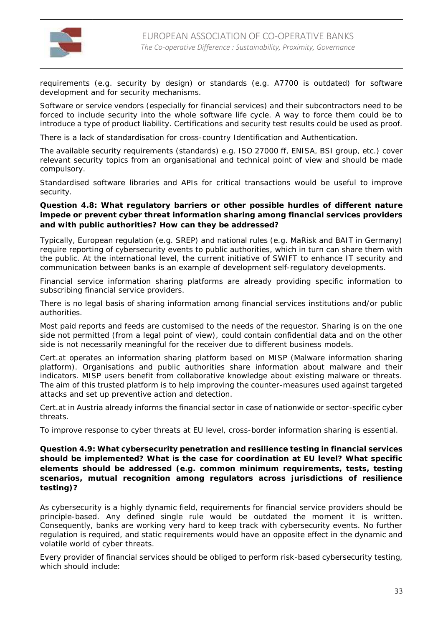

requirements (e.g. security by design) or standards (e.g. A7700 is outdated) for software development and for security mechanisms.

Software or service vendors (especially for financial services) and their subcontractors need to be forced to include security into the whole software life cycle. A way to force them could be to introduce a type of product liability. Certifications and security test results could be used as proof.

There is a lack of standardisation for cross-country Identification and Authentication.

The available security requirements (standards) e.g. ISO 27000 ff, ENISA, BSI group, etc.) cover relevant security topics from an organisational and technical point of view and should be made compulsory.

Standardised software libraries and APIs for critical transactions would be useful to improve security.

**Question 4.8: What regulatory barriers or other possible hurdles of different nature impede or prevent cyber threat information sharing among financial services providers and with public authorities? How can they be addressed?**

Typically, European regulation (e.g. SREP) and national rules (e.g. MaRisk and BAIT in Germany) require reporting of cybersecurity events to public authorities, which in turn can share them with the public. At the international level, the current initiative of SWIFT to enhance IT security and communication between banks is an example of development self-regulatory developments.

Financial service information sharing platforms are already providing specific information to subscribing financial service providers.

There is no legal basis of sharing information among financial services institutions and/or public authorities.

Most paid reports and feeds are customised to the needs of the requestor. Sharing is on the one side not permitted (from a legal point of view), could contain confidential data and on the other side is not necessarily meaningful for the receiver due to different business models.

Cert.at operates an information sharing platform based on MISP (Malware information sharing platform). Organisations and public authorities share information about malware and their indicators. MISP users benefit from collaborative knowledge about existing malware or threats. The aim of this trusted platform is to help improving the counter-measures used against targeted attacks and set up preventive action and detection.

Cert.at in Austria already informs the financial sector in case of nationwide or sector-specific cyber threats.

To improve response to cyber threats at EU level, cross-border information sharing is essential.

**Question 4.9: What cybersecurity penetration and resilience testing in financial services should be implemented? What is the case for coordination at EU level? What specific elements should be addressed (e.g. common minimum requirements, tests, testing scenarios, mutual recognition among regulators across jurisdictions of resilience testing)?**

As cybersecurity is a highly dynamic field, requirements for financial service providers should be principle-based. Any defined single rule would be outdated the moment it is written. Consequently, banks are working very hard to keep track with cybersecurity events. No further regulation is required, and static requirements would have an opposite effect in the dynamic and volatile world of cyber threats.

Every provider of financial services should be obliged to perform risk-based cybersecurity testing, which should include: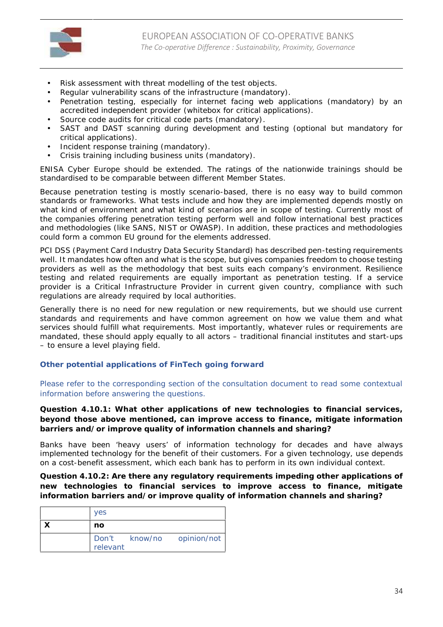

- Risk assessment with threat modelling of the test objects.
- Regular vulnerability scans of the infrastructure (mandatory).
- Penetration testing, especially for internet facing web applications (mandatory) by an accredited independent provider (whitebox for critical applications).
- Source code audits for critical code parts (mandatory).
- SAST and DAST scanning during development and testing (optional but mandatory for critical applications).
- Incident response training (mandatory).
- Crisis training including business units (mandatory).

ENISA Cyber Europe should be extended. The ratings of the nationwide trainings should be standardised to be comparable between different Member States.

Because penetration testing is mostly scenario-based, there is no easy way to build common standards or frameworks. What tests include and how they are implemented depends mostly on what kind of environment and what kind of scenarios are in scope of testing. Currently most of the companies offering penetration testing perform well and follow international best practices and methodologies (like SANS, NIST or OWASP). In addition, these practices and methodologies could form a common EU ground for the elements addressed.

PCI DSS (Payment Card Industry Data Security Standard) has described pen-testing requirements well. It mandates how often and what is the scope, but gives companies freedom to choose testing providers as well as the methodology that best suits each company's environment. Resilience testing and related requirements are equally important as penetration testing. If a service provider is a Critical Infrastructure Provider in current given country, compliance with such regulations are already required by local authorities.

Generally there is no need for new regulation or new requirements, but we should use current standards and requirements and have common agreement on how we value them and what services should fulfill what requirements. Most importantly, whatever rules or requirements are mandated, these should apply equally to all actors – traditional financial institutes and start-ups – to ensure a level playing field.

#### **Other potential applications of FinTech going forward**

Please refer to the corresponding section of the consultation document to read some contextual information before answering the questions.

**Question 4.10.1: What other applications of new technologies to financial services, beyond those above mentioned, can improve access to finance, mitigate information barriers and/or improve quality of information channels and sharing?**

Banks have been 'heavy users' of information technology for decades and have always implemented technology for the benefit of their customers. For a given technology, use depends on a cost-benefit assessment, which each bank has to perform in its own individual context.

**Question 4.10.2: Are there any regulatory requirements impeding other applications of new technologies to financial services to improve access to finance, mitigate information barriers and/or improve quality of information channels and sharing?**

| <b>yes</b> |                           |
|------------|---------------------------|
| no         |                           |
| relevant   | Don't know/no opinion/not |